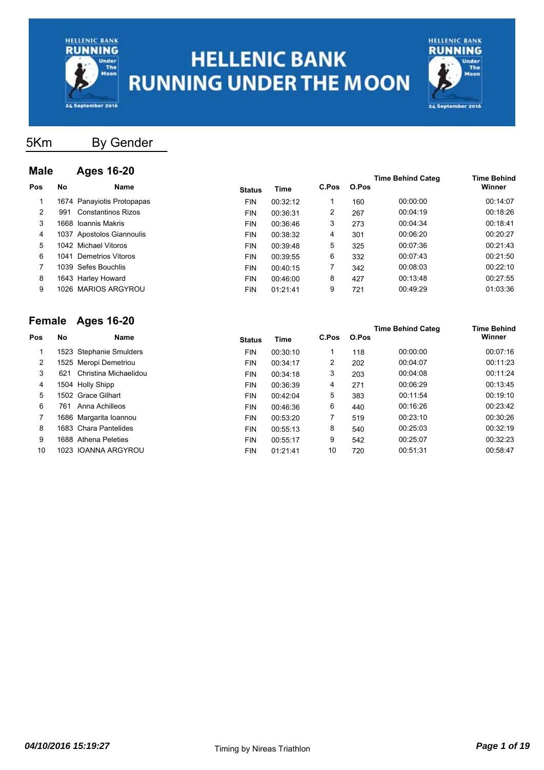



5Km By Gender

| <b>Male</b> |     | <b>Ages 16-20</b>          |               |          |       |       |                          |                              |
|-------------|-----|----------------------------|---------------|----------|-------|-------|--------------------------|------------------------------|
| Pos         | No  | Name                       | <b>Status</b> | Time     | C.Pos | O.Pos | <b>Time Behind Categ</b> | <b>Time Behind</b><br>Winner |
|             |     | 1674 Panayiotis Protopapas | <b>FIN</b>    | 00:32:12 |       | 160   | 00:00:00                 | 00:14:07                     |
| 2           | 991 | <b>Constantinos Rizos</b>  | <b>FIN</b>    | 00:36:31 | 2     | 267   | 00:04:19                 | 00:18:26                     |
| 3           |     | 1668 Ioannis Makris        | <b>FIN</b>    | 00:36:46 | 3     | 273   | 00:04:34                 | 00:18:41                     |
| 4           |     | 1037 Apostolos Giannoulis  | <b>FIN</b>    | 00:38:32 | 4     | 301   | 00:06:20                 | 00:20:27                     |
| 5.          |     | 1042 Michael Vitoros       | <b>FIN</b>    | 00:39:48 | 5     | 325   | 00:07:36                 | 00:21:43                     |
| 6           |     | 1041 Demetrios Vitoros     | <b>FIN</b>    | 00:39:55 | 6     | 332   | 00:07:43                 | 00:21:50                     |
|             |     | 1039 Sefes Bouchlis        | <b>FIN</b>    | 00:40:15 | 7     | 342   | 00:08:03                 | 00:22:10                     |
| 8           |     | 1643 Harley Howard         | <b>FIN</b>    | 00:46:00 | 8     | 427   | 00:13:48                 | 00:27:55                     |
| 9           |     | 1026 MARIOS ARGYROU        | <b>FIN</b>    | 01:21:41 | 9     | 721   | 00:49:29                 | 01:03:36                     |

#### **Female Ages 16-20**

| <b>GIIIAIG</b> |     | AYUS IV-LU              |               |          |       |       | <b>Time Behind Categ</b> | <b>Time Behind</b> |
|----------------|-----|-------------------------|---------------|----------|-------|-------|--------------------------|--------------------|
| Pos            | No  | Name                    | <b>Status</b> | Time     | C.Pos | O.Pos |                          | Winner             |
|                |     | 1523 Stephanie Smulders | <b>FIN</b>    | 00:30:10 |       | 118   | 00:00:00                 | 00:07:16           |
| 2              |     | 1525 Meropi Demetriou   | <b>FIN</b>    | 00:34:17 | 2     | 202   | 00:04:07                 | 00:11:23           |
| 3              | 621 | Christina Michaelidou   | <b>FIN</b>    | 00:34:18 | 3     | 203   | 00:04:08                 | 00:11:24           |
| 4              |     | 1504 Holly Shipp        | <b>FIN</b>    | 00:36:39 | 4     | 271   | 00:06:29                 | 00:13:45           |
| 5              |     | 1502 Grace Gilhart      | <b>FIN</b>    | 00:42:04 | 5     | 383   | 00:11:54                 | 00:19:10           |
| 6              | 761 | Anna Achilleos          | <b>FIN</b>    | 00:46:36 | 6     | 440   | 00:16:26                 | 00:23:42           |
|                |     | 1686 Margarita Ioannou  | <b>FIN</b>    | 00:53:20 |       | 519   | 00:23:10                 | 00:30:26           |
| 8              |     | 1683 Chara Pantelides   | <b>FIN</b>    | 00:55:13 | 8     | 540   | 00:25:03                 | 00:32:19           |
| 9              |     | 1688 Athena Peleties    | <b>FIN</b>    | 00:55:17 | 9     | 542   | 00:25:07                 | 00:32:23           |
| 10             |     | 1023 IOANNA ARGYROU     | <b>FIN</b>    | 01:21:41 | 10    | 720   | 00:51:31                 | 00:58:47           |
|                |     |                         |               |          |       |       |                          |                    |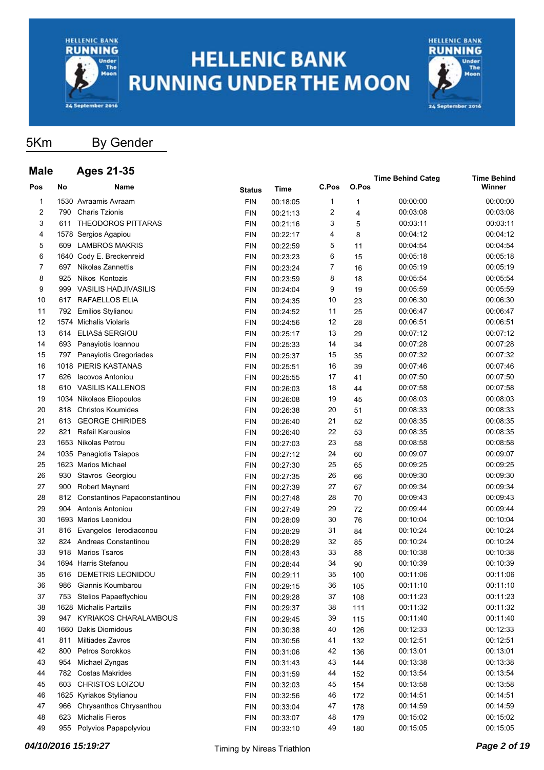

**Male Ages 21-35**

# **HELLENIC BANK RUNNING UNDER THE MOON**



#### 5Km By Gender

#### **Pos No Name Time C.Pos O.Pos Time Behind Categ Time Behind Status** Time C.Pos O.Pos **C.Pos** 1 1530 Avraamis Avraam FIN 00:18:05 1 1 00:00:00 00:00:00 2 790 Charis Tzionis FIN 00:21:13 2 4 00:03:08 00:03:08 3 611 THEODOROS PITTARAS FIN 00:21:16 3 5 00:03:11 00:03:11 4 1578 Sergios Agapiou FIN 00:22:17 4 8 00:04:12 00:04:12 5 609 LAMBROS MAKRIS FIN 00:22:59 5 11 00:04:54 00:04:54 6 1640 Cody E. Breckenreid FIN 00:23:23 6 15 00:05:18 00:05:18 7 697 Nikolas Zannettis FIN 00:23:24 7 16 00:05:19 00:05:19 8 925 Nikos Kontozis FIN 00:23:59 8 18 00:05:54 00:05:54 9 999 VASILIS HADJIVASILIS FIN 00:24:04 9 19 00:05:59 00:05:59 10 617 RAFAELLOS ELIA FIN 00:24:35 10 23 00:06:30 00:06:30 11 792 Emilios Stylianou FIN 00:24:52 11 25 00:06:47 00:06:47 12 1574 Michalis Violaris FIN 00:24:56 12 28 00:06:51 00:06:51 13 614 ELIASá SERGIOU FIN 00:25:17 13 29 00:07:12 00:07:12 14 693 Panayiotis Ioannou FIN 00:25:33 14 34 00:07:28 00:07:28 15 797 Panayiotis Gregoriades FIN 00:25:37 15 35 00:07:32 00:07:32 16 1018 PIERIS KASTANAS FIN 00:25:51 16 39 00:07:46 00:07:46 17 626 Iacovos Antoniou FIN 00:25:55 17 41 00:07:50 00:07:50 18 610 VASILIS KALLENOS FIN 00:26:03 18 44 00:07:58 00:07:58 19 1034 Nikolaos Eliopoulos FIN 00:26:08 19 45 00:08:03 00:08:03 20 818 Christos Koumides FIN 00:26:38 20 51 00:08:33 00:08:33 21 613 GEORGE CHIRIDES FIN 00:26:40 21 52 00:08:35 00:08:35 22 821 Rafail Karousios FIN 00:26:40 22 53 00:08:35 00:08:35 23 1653 Nikolas Petrou FIN 00:27:03 23 58 00:08:58 00:08:58 24 1035 Panagiotis Tsiapos FIN 00:27:12 24 60 00:09:07 00:09:07 25 1623 Marios Michael FIN 00:27:30 25 65 00:09:25 00:09:25 26 930 Stavros Georgiou FIN 00:27:35 26 66 00:09:30 00:09:30 27 900 Robert Maynard FIN 00:27:39 27 67 00:09:34 00:09:34 28 812 Constantinos Papaconstantinou FIN 00:27:48 28 70 00:09:43 00:09:43 29 904 Antonis Antoniou FIN 00:27:49 29 72 00:09:44 00:09:44 30 1693 Marios Leonidou FIN 00:28:09 30 76 00:10:04 00:10:04 31 816 Evangelos Ierodiaconou FIN 00:28:29 31 84 00:10:24 00:10:24 32 824 Andreas Constantinou FIN 00:28:29 32 85 00:10:24 00:10:24 33 918 Marios Tsaros FIN 00:28:43 33 88 00:10:38 00:10:38 34 1694 Harris Stefanou FIN 00:28:44 34 90 00:10:39 00:10:39 35 616 DEMETRIS LEONIDOU FIN 00:29:11 35 100 00:11:06 00:11:06 36 986 Giannis Koumbarou FIN 00:29:15 36 105 00:11:10 00:11:10 37 753 Stelios Papaeftychiou FIN 00:29:28 37 108 00:11:23 00:11:23 38 1628 Michalis Partzilis FIN 00:29:37 38 111 00:11:32 00:11:32 39 947 KYRIAKOS CHARALAMBOUS FIN 00:29:45 39 115 00:11:40 00:11:40 40 1660 Dakis Diomidous FIN 00:30:38 40 126 00:12:33 00:12:33 41 811 Miltiades Zavros FIN 00:30:56 41 132 00:12:51 00:12:51 42 800 Petros Sorokkos FIN 00:31:06 42 136 00:13:01 00:13:01 43 954 Michael Zyngas FIN 00:31:43 43 144 00:13:38 00:13:38 44 782 Costas Makrides FIN 00:31:59 44 152 00:13:54 00:13:54 45 603 CHRISTOS LOIZOU FIN 00:32:03 45 154 00:13:58 00:13:58 46 1625 Kyriakos Stylianou FIN 00:32:56 46 172 00:14:51 00:14:51 47 966 Chrysanthos Chrysanthou FIN 00:33:04 47 178 00:14:59 00:14:59 48 623 Michalis Fieros FIN 00:33:07 48 179 00:15:02 00:15:02 49 955 Polyvios Papapolyviou FIN 00:33:10 49 180 00:15:05 00:15:05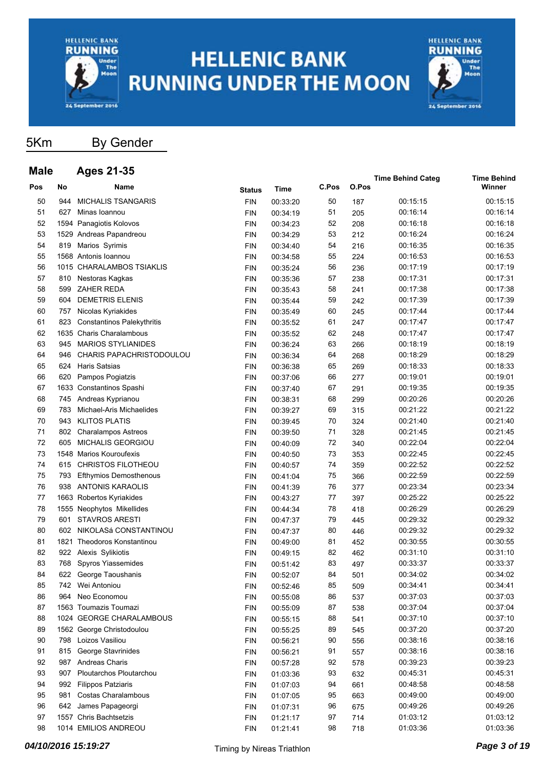



### 5Km By Gender

| <b>Male</b> |     | <b>Ages 21-35</b>                 |               |             |       |       |                          |                              |
|-------------|-----|-----------------------------------|---------------|-------------|-------|-------|--------------------------|------------------------------|
| Pos         | No  | <b>Name</b>                       | <b>Status</b> | <b>Time</b> | C.Pos | O.Pos | <b>Time Behind Categ</b> | <b>Time Behind</b><br>Winner |
| 50          | 944 | <b>MICHALIS TSANGARIS</b>         | <b>FIN</b>    | 00:33:20    | 50    | 187   | 00:15:15                 | 00:15:15                     |
| 51          | 627 | Minas Ioannou                     | <b>FIN</b>    | 00:34:19    | 51    | 205   | 00:16:14                 | 00:16:14                     |
| 52          |     | 1594 Panagiotis Kolovos           | <b>FIN</b>    | 00:34:23    | 52    | 208   | 00:16:18                 | 00:16:18                     |
| 53          |     | 1529 Andreas Papandreou           | <b>FIN</b>    | 00:34:29    | 53    | 212   | 00:16:24                 | 00:16:24                     |
| 54          | 819 | Marios Syrimis                    | <b>FIN</b>    | 00:34:40    | 54    | 216   | 00:16:35                 | 00:16:35                     |
| 55          |     | 1568 Antonis Ioannou              | <b>FIN</b>    | 00:34:58    | 55    | 224   | 00:16:53                 | 00:16:53                     |
| 56          |     | 1015 CHARALAMBOS TSIAKLIS         | <b>FIN</b>    | 00:35:24    | 56    | 236   | 00:17:19                 | 00:17:19                     |
| 57          | 810 | Nestoras Kagkas                   | <b>FIN</b>    | 00:35:36    | 57    | 238   | 00:17:31                 | 00:17:31                     |
| 58          | 599 | ZAHER REDA                        | <b>FIN</b>    | 00:35:43    | 58    | 241   | 00:17:38                 | 00:17:38                     |
| 59          | 604 | <b>DEMETRIS ELENIS</b>            | <b>FIN</b>    | 00:35:44    | 59    | 242   | 00:17:39                 | 00:17:39                     |
| 60          | 757 | Nicolas Kyriakides                | <b>FIN</b>    | 00:35:49    | 60    | 245   | 00:17:44                 | 00:17:44                     |
| 61          | 823 | <b>Constantinos Palekythritis</b> | <b>FIN</b>    | 00:35:52    | 61    | 247   | 00:17:47                 | 00:17:47                     |
| 62          |     | 1635 Charis Charalambous          | <b>FIN</b>    | 00:35:52    | 62    | 248   | 00:17:47                 | 00:17:47                     |
| 63          | 945 | <b>MARIOS STYLIANIDES</b>         | <b>FIN</b>    | 00:36:24    | 63    | 266   | 00:18:19                 | 00:18:19                     |
| 64          | 946 | CHARIS PAPACHRISTODOULOU          | <b>FIN</b>    | 00:36:34    | 64    | 268   | 00:18:29                 | 00:18:29                     |
| 65          | 624 | <b>Haris Satsias</b>              | <b>FIN</b>    | 00:36:38    | 65    | 269   | 00:18:33                 | 00:18:33                     |
| 66          | 620 | Pampos Pogiatzis                  | <b>FIN</b>    | 00:37:06    | 66    | 277   | 00:19:01                 | 00:19:01                     |
| 67          |     | 1633 Constantinos Spashi          | <b>FIN</b>    | 00:37:40    | 67    | 291   | 00:19:35                 | 00:19:35                     |
| 68          | 745 | Andreas Kyprianou                 | <b>FIN</b>    | 00:38:31    | 68    | 299   | 00:20:26                 | 00:20:26                     |
| 69          | 783 | Michael-Aris Michaelides          | <b>FIN</b>    | 00:39:27    | 69    | 315   | 00:21:22                 | 00:21:22                     |
| 70          | 943 | <b>KLITOS PLATIS</b>              | <b>FIN</b>    | 00:39:45    | 70    | 324   | 00:21:40                 | 00:21:40                     |
| 71          | 802 | <b>Charalampos Astreos</b>        | <b>FIN</b>    | 00:39:50    | 71    | 328   | 00:21:45                 | 00:21:45                     |
| 72          | 605 | <b>MICHALIS GEORGIOU</b>          | <b>FIN</b>    | 00:40:09    | 72    | 340   | 00:22:04                 | 00:22:04                     |
| 73          |     | 1548 Marios Kouroufexis           | <b>FIN</b>    | 00:40:50    | 73    | 353   | 00:22:45                 | 00:22:45                     |
| 74          | 615 | <b>CHRISTOS FILOTHEOU</b>         | <b>FIN</b>    | 00:40:57    | 74    | 359   | 00:22:52                 | 00:22:52                     |
| 75          | 793 | <b>Efthymios Demosthenous</b>     | <b>FIN</b>    | 00:41:04    | 75    | 366   | 00:22:59                 | 00:22:59                     |
| 76          | 938 | ANTONIS KARAOLIS                  | <b>FIN</b>    | 00:41:39    | 76    | 377   | 00:23:34                 | 00:23:34                     |
| 77          |     | 1663 Robertos Kyriakides          | <b>FIN</b>    | 00:43:27    | 77    | 397   | 00:25:22                 | 00:25:22                     |
| 78          |     | 1555 Neophytos Mikellides         | <b>FIN</b>    | 00:44:34    | 78    | 418   | 00:26:29                 | 00:26:29                     |
| 79          | 601 | <b>STAVROS ARESTI</b>             | <b>FIN</b>    | 00:47:37    | 79    | 445   | 00:29:32                 | 00:29:32                     |
| 80          | 602 | NIKOLASá CONSTANTINOU             | <b>FIN</b>    | 00:47:37    | 80    | 446   | 00:29:32                 | 00:29:32                     |
| 81          |     | 1821 Theodoros Konstantinou       | <b>FIN</b>    | 00:49:00    | 81    | 452   | 00:30:55                 | 00:30:55                     |
| 82          | 922 | Alexis Sylikiotis                 | <b>FIN</b>    | 00:49:15    | 82    | 462   | 00:31:10                 | 00:31:10                     |
| 83          | 768 | Spyros Yiassemides                | <b>FIN</b>    | 00:51:42    | 83    | 497   | 00:33:37                 | 00:33:37                     |
| 84          |     | 622 George Taoushanis             | <b>FIN</b>    | 00:52:07    | 84    | 501   | 00:34:02                 | 00:34:02                     |
| 85          |     | 742 Wei Antoniou                  | FIN           | 00:52:46    | 85    | 509   | 00:34:41                 | 00:34:41                     |
| 86          | 964 | Neo Economou                      | <b>FIN</b>    | 00:55:08    | 86    | 537   | 00:37:03                 | 00:37:03                     |
| 87          |     | 1563 Toumazis Toumazi             | <b>FIN</b>    | 00:55:09    | 87    | 538   | 00:37:04                 | 00:37:04                     |
| 88          |     | 1024 GEORGE CHARALAMBOUS          | <b>FIN</b>    | 00:55:15    | 88    | 541   | 00:37:10                 | 00:37:10                     |
| 89          |     | 1562 George Christodoulou         | <b>FIN</b>    | 00:55:25    | 89    | 545   | 00:37:20                 | 00:37:20                     |
| 90          |     | 798 Loizos Vasiliou               | <b>FIN</b>    | 00:56:21    | 90    | 556   | 00:38:16                 | 00:38:16                     |
| 91          |     | 815 George Stavrinides            | <b>FIN</b>    | 00:56:21    | 91    | 557   | 00:38:16                 | 00:38:16                     |
| 92          |     | 987 Andreas Charis                | <b>FIN</b>    | 00:57:28    | 92    | 578   | 00:39:23                 | 00:39:23                     |
| 93          |     | 907 Ploutarchos Ploutarchou       | <b>FIN</b>    | 01:03:36    | 93    | 632   | 00:45:31                 | 00:45:31                     |
| 94          |     | 992 Filippos Patziaris            | <b>FIN</b>    | 01:07:03    | 94    | 661   | 00:48:58                 | 00:48:58                     |
| 95          | 981 | <b>Costas Charalambous</b>        | <b>FIN</b>    | 01:07:05    | 95    | 663   | 00:49:00                 | 00:49:00                     |
| 96          |     | 642 James Papageorgi              | <b>FIN</b>    | 01:07:31    | 96    | 675   | 00:49:26                 | 00:49:26                     |
| 97          |     | 1557 Chris Bachtsetzis            | <b>FIN</b>    | 01:21:17    | 97    | 714   | 01:03:12                 | 01:03:12                     |
| 98          |     | 1014 EMILIOS ANDREOU              | <b>FIN</b>    | 01:21:41    | 98    | 718   | 01:03:36                 | 01:03:36                     |
|             |     |                                   |               |             |       |       |                          |                              |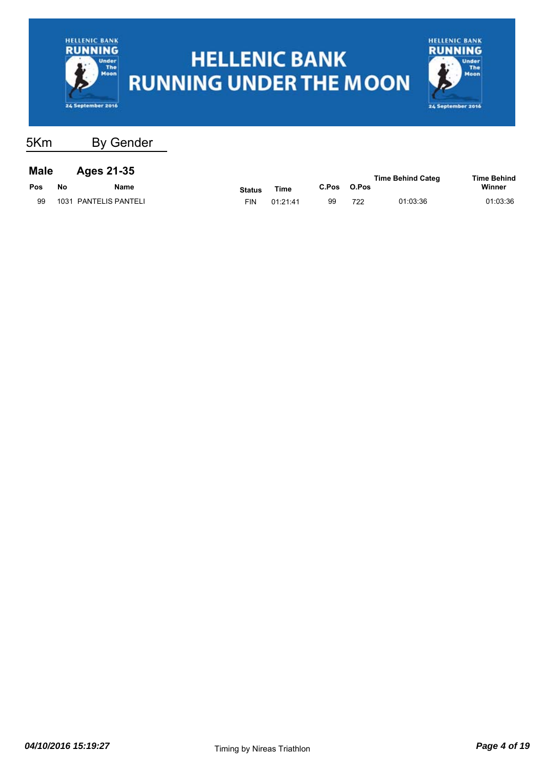



| <b>Male</b> | <b>Ages 21-35</b> |
|-------------|-------------------|
|             |                   |

|     |    |                       |               |          |       |       | <b>Time Behind Categ</b> | <b>Time Behind</b> |
|-----|----|-----------------------|---------------|----------|-------|-------|--------------------------|--------------------|
| Pos | No | Name                  | <b>Status</b> | Time     | C.Pos | O.Pos |                          | Winner             |
|     |    | 1031 PANTELIS PANTELI | FIN           | 01:21:41 | 99    | 722   | 01:03:36                 | 01:03:36           |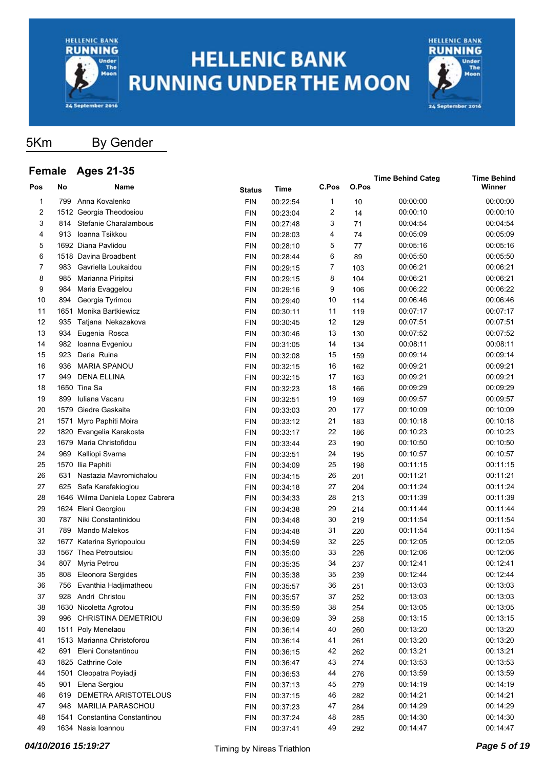



5Km By Gender

#### **Female Ages 21-35**

| I emaie |     | Ayes 21-99                       |               |          |       |       | <b>Time Behind Categ</b> | <b>Time Behind</b> |
|---------|-----|----------------------------------|---------------|----------|-------|-------|--------------------------|--------------------|
| Pos     | No  | Name                             | <b>Status</b> | Time     | C.Pos | O.Pos |                          | Winner             |
| 1       | 799 | Anna Kovalenko                   | <b>FIN</b>    | 00:22:54 | 1     | 10    | 00:00:00                 | 00:00:00           |
| 2       |     | 1512 Georgia Theodosiou          | <b>FIN</b>    | 00:23:04 | 2     | 14    | 00:00:10                 | 00:00:10           |
| 3       | 814 | Stefanie Charalambous            | <b>FIN</b>    | 00:27:48 | 3     | 71    | 00:04:54                 | 00:04:54           |
| 4       | 913 | Ioanna Tsikkou                   | <b>FIN</b>    | 00:28:03 | 4     | 74    | 00:05:09                 | 00:05:09           |
| 5       |     | 1692 Diana Pavlidou              | <b>FIN</b>    | 00:28:10 | 5     | 77    | 00:05:16                 | 00:05:16           |
| 6       |     | 1518 Davina Broadbent            | <b>FIN</b>    | 00:28:44 | 6     | 89    | 00:05:50                 | 00:05:50           |
| 7       | 983 | Gavriella Loukaidou              | <b>FIN</b>    | 00:29:15 | 7     | 103   | 00:06:21                 | 00:06:21           |
| 8       | 985 | Marianna Piripitsi               | <b>FIN</b>    | 00:29:15 | 8     | 104   | 00:06:21                 | 00:06:21           |
| 9       | 984 | Maria Evaggelou                  | <b>FIN</b>    | 00:29:16 | 9     | 106   | 00:06:22                 | 00:06:22           |
| 10      | 894 | Georgia Tyrimou                  | <b>FIN</b>    | 00:29:40 | 10    | 114   | 00:06:46                 | 00:06:46           |
| 11      |     | 1651 Monika Bartkiewicz          | <b>FIN</b>    | 00:30:11 | 11    | 119   | 00:07:17                 | 00:07:17           |
| 12      | 935 | Tatjana Nekazakova               | <b>FIN</b>    | 00:30:45 | 12    | 129   | 00:07:51                 | 00:07:51           |
| 13      | 934 | Eugenia Rosca                    | <b>FIN</b>    | 00:30:46 | 13    | 130   | 00:07:52                 | 00:07:52           |
| 14      | 982 | Ioanna Evgeniou                  | <b>FIN</b>    | 00:31:05 | 14    | 134   | 00:08:11                 | 00:08:11           |
| 15      | 923 | Daria Ruina                      | <b>FIN</b>    | 00:32:08 | 15    | 159   | 00:09:14                 | 00:09:14           |
| 16      | 936 | <b>MARIA SPANOU</b>              | <b>FIN</b>    | 00:32:15 | 16    | 162   | 00:09:21                 | 00:09:21           |
| 17      | 949 | <b>DENA ELLINA</b>               | <b>FIN</b>    | 00:32:15 | 17    | 163   | 00:09:21                 | 00:09:21           |
| 18      |     | 1650 Tina Sa                     | <b>FIN</b>    | 00:32:23 | 18    | 166   | 00:09:29                 | 00:09:29           |
| 19      | 899 | Iuliana Vacaru                   | <b>FIN</b>    | 00:32:51 | 19    | 169   | 00:09:57                 | 00:09:57           |
| 20      |     | 1579 Giedre Gaskaite             | <b>FIN</b>    | 00:33:03 | 20    | 177   | 00:10:09                 | 00:10:09           |
| 21      |     | 1571 Myro Paphiti Moira          | <b>FIN</b>    | 00:33:12 | 21    | 183   | 00:10:18                 | 00:10:18           |
| 22      |     | 1820 Evangelia Karakosta         | <b>FIN</b>    | 00:33:17 | 22    | 186   | 00:10:23                 | 00:10:23           |
| 23      |     | 1679 Maria Christofidou          | <b>FIN</b>    | 00:33:44 | 23    | 190   | 00:10:50                 | 00:10:50           |
| 24      | 969 | Kalliopi Svarna                  | <b>FIN</b>    | 00:33:51 | 24    | 195   | 00:10:57                 | 00:10:57           |
| 25      |     | 1570 Ilia Paphiti                | <b>FIN</b>    | 00:34:09 | 25    | 198   | 00:11:15                 | 00:11:15           |
| 26      | 631 | Nastazia Mavromichalou           | <b>FIN</b>    | 00:34:15 | 26    | 201   | 00:11:21                 | 00:11:21           |
| 27      | 625 | Safa Karafakioglou               | <b>FIN</b>    | 00:34:18 | 27    | 204   | 00:11:24                 | 00:11:24           |
| 28      |     | 1646 Wilma Daniela Lopez Cabrera | <b>FIN</b>    | 00:34:33 | 28    | 213   | 00:11:39                 | 00:11:39           |
| 29      |     | 1624 Eleni Georgiou              | <b>FIN</b>    | 00:34:38 | 29    | 214   | 00:11:44                 | 00:11:44           |
| 30      | 787 | Niki Constantinidou              | <b>FIN</b>    | 00:34:48 | 30    | 219   | 00:11:54                 | 00:11:54           |
| 31      | 789 | Mando Malekos                    | <b>FIN</b>    | 00:34:48 | 31    | 220   | 00:11:54                 | 00:11:54           |
| 32      |     | 1677 Katerina Syriopoulou        | <b>FIN</b>    | 00:34:59 | 32    | 225   | 00:12:05                 | 00:12:05           |
| 33      |     | 1567 Thea Petroutsiou            | <b>FIN</b>    | 00:35:00 | 33    | 226   | 00:12:06                 | 00:12:06           |
| 34      | 807 | Myria Petrou                     | <b>FIN</b>    | 00:35:35 | 34    | 237   | 00:12:41                 | 00:12:41           |
| 35      | 808 | Eleonora Sergides                | <b>FIN</b>    | 00:35:38 | 35    | 239   | 00:12:44                 | 00:12:44           |
| 36      | 756 | Evanthia Hadjimatheou            | <b>FIN</b>    | 00:35:57 | 36    | 251   | 00:13:03                 | 00:13:03           |
| 37      | 928 | Andri Christou                   | <b>FIN</b>    | 00:35:57 | 37    | 252   | 00:13:03                 | 00:13:03           |
| 38      |     | 1630 Nicoletta Agrotou           | <b>FIN</b>    | 00:35:59 | 38    | 254   | 00:13:05                 | 00:13:05           |
| 39      | 996 | CHRISTINA DEMETRIOU              | <b>FIN</b>    | 00:36:09 | 39    | 258   | 00:13:15                 | 00:13:15           |
| 40      |     | 1511 Poly Menelaou               | <b>FIN</b>    | 00:36:14 | 40    | 260   | 00:13:20                 | 00:13:20           |
| 41      |     | 1513 Marianna Christoforou       | <b>FIN</b>    | 00:36:14 | 41    | 261   | 00:13:20                 | 00:13:20           |
| 42      | 691 | Eleni Constantinou               | <b>FIN</b>    | 00:36:15 | 42    | 262   | 00:13:21                 | 00:13:21           |
| 43      |     | 1825 Cathrine Cole               | <b>FIN</b>    | 00:36:47 | 43    | 274   | 00:13:53                 | 00:13:53           |
| 44      |     | 1501 Cleopatra Poyiadji          | <b>FIN</b>    | 00:36:53 | 44    | 276   | 00:13:59                 | 00:13:59           |
| 45      | 901 | Elena Sergiou                    | <b>FIN</b>    | 00:37:13 | 45    | 279   | 00:14:19                 | 00:14:19           |
| 46      | 619 | DEMETRA ARISTOTELOUS             | <b>FIN</b>    | 00:37:15 | 46    | 282   | 00:14:21                 | 00:14:21           |
| 47      | 948 | <b>MARILIA PARASCHOU</b>         | <b>FIN</b>    | 00:37:23 | 47    | 284   | 00:14:29                 | 00:14:29           |
| 48      |     | 1541 Constantina Constantinou    | <b>FIN</b>    | 00:37:24 | 48    | 285   | 00:14:30                 | 00:14:30           |
| 49      |     | 1634 Nasia Ioannou               | <b>FIN</b>    | 00:37:41 | 49    | 292   | 00:14:47                 | 00:14:47           |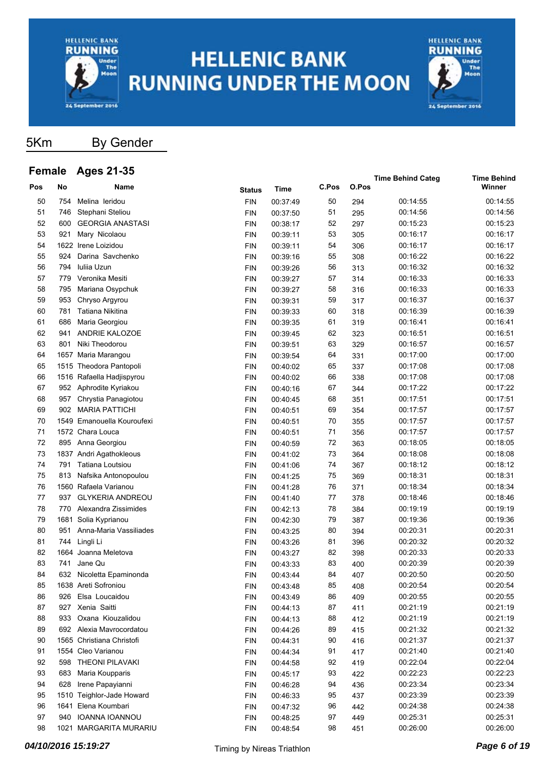



5Km By Gender

#### **Female Ages 21-35**

| <b>L</b> emaie |     | Ayes 21-99                 |               |          |       |       | <b>Time Behind Categ</b> | Time Behind |
|----------------|-----|----------------------------|---------------|----------|-------|-------|--------------------------|-------------|
| Pos            | No  | Name                       | <b>Status</b> | Time     | C.Pos | O.Pos |                          | Winner      |
| 50             | 754 | Melina leridou             | <b>FIN</b>    | 00:37:49 | 50    | 294   | 00:14:55                 | 00:14:55    |
| 51             | 746 | Stephani Steliou           | <b>FIN</b>    | 00:37:50 | 51    | 295   | 00:14:56                 | 00:14:56    |
| 52             | 600 | <b>GEORGIA ANASTASI</b>    | <b>FIN</b>    | 00:38:17 | 52    | 297   | 00:15:23                 | 00:15:23    |
| 53             | 921 | Mary Nicolaou              | <b>FIN</b>    | 00:39:11 | 53    | 305   | 00:16:17                 | 00:16:17    |
| 54             |     | 1622 Irene Loizidou        | <b>FIN</b>    | 00:39:11 | 54    | 306   | 00:16:17                 | 00:16:17    |
| 55             | 924 | Darina Savchenko           | <b>FIN</b>    | 00:39:16 | 55    | 308   | 00:16:22                 | 00:16:22    |
| 56             | 794 | Iulija Uzun                | <b>FIN</b>    | 00:39:26 | 56    | 313   | 00:16:32                 | 00:16:32    |
| 57             | 779 | Veronika Mesiti            | <b>FIN</b>    | 00:39:27 | 57    | 314   | 00:16:33                 | 00:16:33    |
| 58             | 795 | Mariana Osypchuk           | <b>FIN</b>    | 00:39:27 | 58    | 316   | 00:16:33                 | 00:16:33    |
| 59             | 953 | Chryso Argyrou             | <b>FIN</b>    | 00:39:31 | 59    | 317   | 00:16:37                 | 00:16:37    |
| 60             | 781 | Tatiana Nikitina           | <b>FIN</b>    | 00:39:33 | 60    | 318   | 00:16:39                 | 00:16:39    |
| 61             | 686 | Maria Georgiou             | <b>FIN</b>    | 00:39:35 | 61    | 319   | 00:16:41                 | 00:16:41    |
| 62             | 941 | ANDRIE KALOZOE             | <b>FIN</b>    | 00:39:45 | 62    | 323   | 00:16:51                 | 00:16:51    |
| 63             | 801 | Niki Theodorou             | <b>FIN</b>    | 00:39:51 | 63    | 329   | 00:16:57                 | 00:16:57    |
| 64             |     | 1657 Maria Marangou        | <b>FIN</b>    | 00:39:54 | 64    | 331   | 00:17:00                 | 00:17:00    |
| 65             |     | 1515 Theodora Pantopoli    | <b>FIN</b>    | 00:40:02 | 65    | 337   | 00:17:08                 | 00:17:08    |
| 66             |     | 1516 Rafaella Hadjispyrou  | <b>FIN</b>    | 00:40:02 | 66    | 338   | 00:17:08                 | 00:17:08    |
| 67             | 952 | Aphrodite Kyriakou         | <b>FIN</b>    | 00:40:16 | 67    | 344   | 00:17:22                 | 00:17:22    |
| 68             | 957 | Chrystia Panagiotou        | <b>FIN</b>    | 00:40:45 | 68    | 351   | 00:17:51                 | 00:17:51    |
| 69             | 902 | <b>MARIA PATTICHI</b>      | <b>FIN</b>    | 00:40:51 | 69    | 354   | 00:17:57                 | 00:17:57    |
| 70             |     | 1549 Emanouella Kouroufexi | <b>FIN</b>    | 00:40:51 | 70    | 355   | 00:17:57                 | 00:17:57    |
| 71             |     | 1572 Chara Louca           | <b>FIN</b>    | 00:40:51 | 71    | 356   | 00:17:57                 | 00:17:57    |
| 72             |     | 895 Anna Georgiou          | <b>FIN</b>    | 00:40:59 | 72    | 363   | 00:18:05                 | 00:18:05    |
| 73             |     | 1837 Andri Agathokleous    | <b>FIN</b>    | 00:41:02 | 73    | 364   | 00:18:08                 | 00:18:08    |
| 74             | 791 | Tatiana Loutsiou           | <b>FIN</b>    | 00:41:06 | 74    | 367   | 00:18:12                 | 00:18:12    |
| 75             | 813 | Nafsika Antonopoulou       | <b>FIN</b>    | 00:41:25 | 75    | 369   | 00:18:31                 | 00:18:31    |
| 76             |     | 1560 Rafaela Varianou      | <b>FIN</b>    | 00:41:28 | 76    | 371   | 00:18:34                 | 00:18:34    |
| 77             | 937 | <b>GLYKERIA ANDREOU</b>    | <b>FIN</b>    | 00:41:40 | 77    | 378   | 00:18:46                 | 00:18:46    |
| 78             | 770 | Alexandra Zissimides       | <b>FIN</b>    | 00:42:13 | 78    | 384   | 00:19:19                 | 00:19:19    |
| 79             |     | 1681 Solia Kyprianou       | <b>FIN</b>    | 00:42:30 | 79    | 387   | 00:19:36                 | 00:19:36    |
| 80             | 951 | Anna-Maria Vassiliades     | <b>FIN</b>    | 00:43:25 | 80    | 394   | 00:20:31                 | 00:20:31    |
| 81             | 744 | Lingli Li                  | <b>FIN</b>    | 00:43:26 | 81    | 396   | 00:20:32                 | 00:20:32    |
| 82             |     | 1664 Joanna Meletova       | <b>FIN</b>    | 00:43:27 | 82    | 398   | 00:20:33                 | 00:20:33    |
| 83             | 741 | Jane Qu                    | <b>FIN</b>    | 00:43:33 | 83    | 400   | 00:20:39                 | 00:20:39    |
| 84             | 632 | Nicoletta Epaminonda       | <b>FIN</b>    | 00:43:44 | 84    | 407   | 00:20:50                 | 00:20:50    |
| 85             |     | 1638 Areti Sofroniou       | <b>FIN</b>    | 00:43:48 | 85    | 408   | 00:20:54                 | 00:20:54    |
| 86             | 926 | Elsa Loucaidou             | <b>FIN</b>    | 00:43:49 | 86    | 409   | 00:20:55                 | 00:20:55    |
| 87             |     | 927 Xenia Saitti           | <b>FIN</b>    | 00:44:13 | 87    | 411   | 00:21:19                 | 00:21:19    |
| 88             | 933 | Oxana Kiouzalidou          | <b>FIN</b>    | 00:44:13 | 88    | 412   | 00:21:19                 | 00:21:19    |
| 89             |     | 692 Alexia Mavrocordatou   | <b>FIN</b>    | 00:44:26 | 89    | 415   | 00:21:32                 | 00:21:32    |
| 90             |     | 1565 Christiana Christofi  | <b>FIN</b>    | 00:44:31 | 90    | 416   | 00:21:37                 | 00:21:37    |
| 91             |     | 1554 Cleo Varianou         | <b>FIN</b>    | 00:44:34 | 91    | 417   | 00:21:40                 | 00:21:40    |
| 92             | 598 | <b>THEONI PILAVAKI</b>     | <b>FIN</b>    | 00:44:58 | 92    | 419   | 00:22:04                 | 00:22:04    |
| 93             | 683 | Maria Koupparis            | <b>FIN</b>    | 00:45:17 | 93    | 422   | 00:22:23                 | 00:22:23    |
| 94             | 628 | Irene Papayianni           | <b>FIN</b>    | 00:46:28 | 94    | 436   | 00:23:34                 | 00:23:34    |
| 95             |     | 1510 Teighlor-Jade Howard  | <b>FIN</b>    | 00:46:33 | 95    | 437   | 00:23:39                 | 00:23:39    |
| 96             |     | 1641 Elena Koumbari        | <b>FIN</b>    | 00:47:32 | 96    | 442   | 00:24:38                 | 00:24:38    |
| 97             | 940 | IOANNA IOANNOU             | <b>FIN</b>    | 00:48:25 | 97    | 449   | 00:25:31                 | 00:25:31    |
| 98             |     | 1021 MARGARITA MURARIU     | <b>FIN</b>    | 00:48:54 | 98    | 451   | 00:26:00                 | 00:26:00    |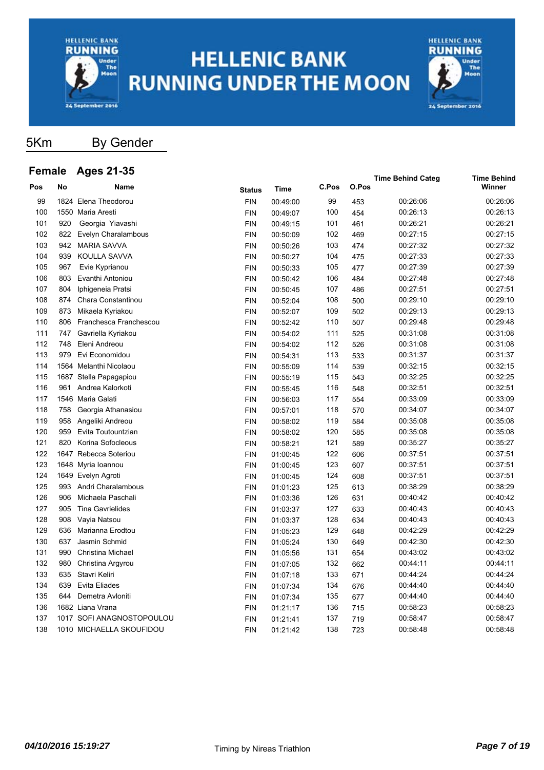



5Km By Gender

#### **Female Ages 21-35**

| <b>טווו</b> סוכ |      | Ayes z r-Ju               |               |             |       |       | <b>Time Behind Categ</b> | <b>Time Behind</b> |
|-----------------|------|---------------------------|---------------|-------------|-------|-------|--------------------------|--------------------|
| Pos             | No   | Name                      | <b>Status</b> | <b>Time</b> | C.Pos | O.Pos |                          | Winner             |
| 99              | 1824 | Elena Theodorou           | <b>FIN</b>    | 00:49:00    | 99    | 453   | 00:26:06                 | 00:26:06           |
| 100             |      | 1550 Maria Aresti         | <b>FIN</b>    | 00:49:07    | 100   | 454   | 00:26:13                 | 00:26:13           |
| 101             | 920  | Georgia Yiavashi          | <b>FIN</b>    | 00:49:15    | 101   | 461   | 00:26:21                 | 00:26:21           |
| 102             | 822  | Evelyn Charalambous       | <b>FIN</b>    | 00:50:09    | 102   | 469   | 00:27:15                 | 00:27:15           |
| 103             | 942  | <b>MARIA SAVVA</b>        | <b>FIN</b>    | 00:50:26    | 103   | 474   | 00:27:32                 | 00:27:32           |
| 104             | 939  | <b>KOULLA SAVVA</b>       | <b>FIN</b>    | 00:50:27    | 104   | 475   | 00:27:33                 | 00:27:33           |
| 105             | 967  | Evie Kyprianou            | <b>FIN</b>    | 00:50:33    | 105   | 477   | 00:27:39                 | 00:27:39           |
| 106             | 803  | Evanthi Antoniou          | <b>FIN</b>    | 00:50:42    | 106   | 484   | 00:27:48                 | 00:27:48           |
| 107             | 804  | Iphigeneia Pratsi         | <b>FIN</b>    | 00:50:45    | 107   | 486   | 00:27:51                 | 00:27:51           |
| 108             | 874  | Chara Constantinou        | <b>FIN</b>    | 00:52:04    | 108   | 500   | 00:29:10                 | 00:29:10           |
| 109             | 873  | Mikaela Kyriakou          | <b>FIN</b>    | 00:52:07    | 109   | 502   | 00:29:13                 | 00:29:13           |
| 110             | 806  | Franchesca Franchescou    | <b>FIN</b>    | 00:52:42    | 110   | 507   | 00:29:48                 | 00:29:48           |
| 111             | 747  | Gavriella Kyriakou        | <b>FIN</b>    | 00:54:02    | 111   | 525   | 00:31:08                 | 00:31:08           |
| 112             | 748  | Eleni Andreou             | <b>FIN</b>    | 00:54:02    | 112   | 526   | 00:31:08                 | 00:31:08           |
| 113             | 979  | Evi Economidou            | <b>FIN</b>    | 00:54:31    | 113   | 533   | 00:31:37                 | 00:31:37           |
| 114             |      | 1564 Melanthi Nicolaou    | <b>FIN</b>    | 00:55:09    | 114   | 539   | 00:32:15                 | 00:32:15           |
| 115             |      | 1687 Stella Papagapiou    | <b>FIN</b>    | 00:55:19    | 115   | 543   | 00:32:25                 | 00:32:25           |
| 116             | 961  | Andrea Kalorkoti          | <b>FIN</b>    | 00:55:45    | 116   | 548   | 00:32:51                 | 00:32:51           |
| 117             |      | 1546 Maria Galati         | <b>FIN</b>    | 00:56:03    | 117   | 554   | 00:33:09                 | 00:33:09           |
| 118             | 758  | Georgia Athanasiou        | <b>FIN</b>    | 00:57:01    | 118   | 570   | 00:34:07                 | 00:34:07           |
| 119             | 958  | Angeliki Andreou          | <b>FIN</b>    | 00:58:02    | 119   | 584   | 00:35:08                 | 00:35:08           |
| 120             | 959  | Evita Toutountzian        | <b>FIN</b>    | 00:58:02    | 120   | 585   | 00:35:08                 | 00:35:08           |
| 121             | 820  | Korina Sofocleous         | <b>FIN</b>    | 00:58:21    | 121   | 589   | 00:35:27                 | 00:35:27           |
| 122             |      | 1647 Rebecca Soteriou     | <b>FIN</b>    | 01:00:45    | 122   | 606   | 00:37:51                 | 00:37:51           |
| 123             |      | 1648 Myria Ioannou        | <b>FIN</b>    | 01:00:45    | 123   | 607   | 00:37:51                 | 00:37:51           |
| 124             |      | 1649 Evelyn Agroti        | <b>FIN</b>    | 01:00:45    | 124   | 608   | 00:37:51                 | 00:37:51           |
| 125             | 993  | Andri Charalambous        | <b>FIN</b>    | 01:01:23    | 125   | 613   | 00:38:29                 | 00:38:29           |
| 126             | 906  | Michaela Paschali         | <b>FIN</b>    | 01:03:36    | 126   | 631   | 00:40:42                 | 00:40:42           |
| 127             |      | 905 Tina Gavrielides      | <b>FIN</b>    | 01:03:37    | 127   | 633   | 00:40:43                 | 00:40:43           |
| 128             | 908  | Vayia Natsou              | <b>FIN</b>    | 01:03:37    | 128   | 634   | 00:40:43                 | 00:40:43           |
| 129             | 636  | Marianna Erodtou          | <b>FIN</b>    | 01:05:23    | 129   | 648   | 00:42:29                 | 00:42:29           |
| 130             | 637  | Jasmin Schmid             | <b>FIN</b>    | 01:05:24    | 130   | 649   | 00:42:30                 | 00:42:30           |
| 131             | 990  | <b>Christina Michael</b>  | <b>FIN</b>    | 01:05:56    | 131   | 654   | 00:43:02                 | 00:43:02           |
| 132             | 980  | Christina Argyrou         | <b>FIN</b>    | 01:07:05    | 132   | 662   | 00:44:11                 | 00:44:11           |
| 133             | 635  | Stavri Keliri             | <b>FIN</b>    | 01:07:18    | 133   | 671   | 00:44:24                 | 00:44:24           |
| 134             | 639  | <b>Evita Eliades</b>      | <b>FIN</b>    | 01:07:34    | 134   | 676   | 00:44:40                 | 00:44:40           |
| 135             | 644  | Demetra Avloniti          | <b>FIN</b>    | 01:07:34    | 135   | 677   | 00:44:40                 | 00:44:40           |
| 136             |      | 1682 Liana Vrana          | <b>FIN</b>    | 01:21:17    | 136   | 715   | 00:58:23                 | 00:58:23           |
| 137             |      | 1017 SOFI ANAGNOSTOPOULOU | <b>FIN</b>    | 01:21:41    | 137   | 719   | 00:58:47                 | 00:58:47           |
| 138             |      | 1010 MICHAELLA SKOUFIDOU  | <b>FIN</b>    | 01:21:42    | 138   | 723   | 00:58:48                 | 00:58:48           |
|                 |      |                           |               |             |       |       |                          |                    |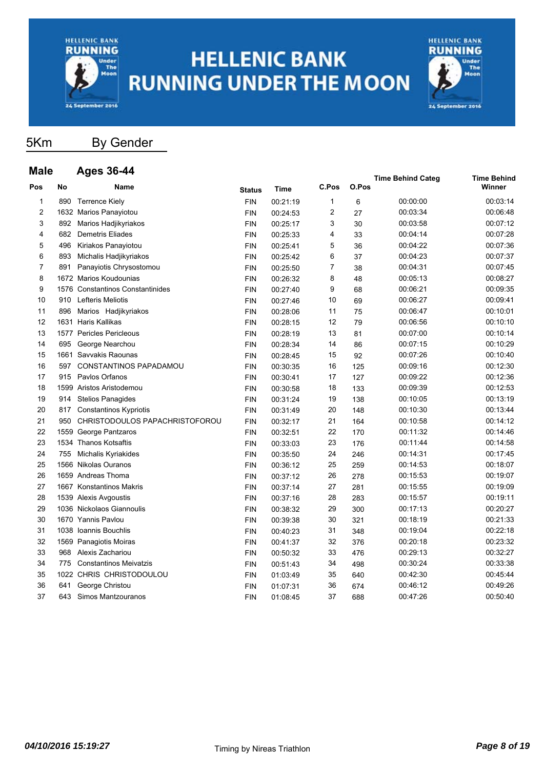



### 5Km By Gender

| <b>Male</b>             |     | <b>Ages 36-44</b>                |               |          |       |       | <b>Time Behind Categ</b> | <b>Time Behind</b> |
|-------------------------|-----|----------------------------------|---------------|----------|-------|-------|--------------------------|--------------------|
| Pos                     | No  | <b>Name</b>                      | <b>Status</b> | Time     | C.Pos | O.Pos |                          | Winner             |
| 1                       | 890 | <b>Terrence Kiely</b>            | <b>FIN</b>    | 00:21:19 | 1     | 6     | 00:00:00                 | 00:03:14           |
| $\overline{\mathbf{c}}$ |     | 1632 Marios Panayiotou           | <b>FIN</b>    | 00:24:53 | 2     | 27    | 00:03:34                 | 00:06:48           |
| 3                       |     | 892 Marios Hadjikyriakos         | <b>FIN</b>    | 00:25:17 | 3     | 30    | 00:03:58                 | 00:07:12           |
| 4                       | 682 | Demetris Eliades                 | <b>FIN</b>    | 00:25:33 | 4     | 33    | 00:04:14                 | 00:07:28           |
| 5                       | 496 | Kiriakos Panayiotou              | <b>FIN</b>    | 00:25:41 | 5     | 36    | 00:04:22                 | 00:07:36           |
| 6                       | 893 | Michalis Hadjikyriakos           | <b>FIN</b>    | 00:25:42 | 6     | 37    | 00:04:23                 | 00:07:37           |
| 7                       | 891 | Panayiotis Chrysostomou          | <b>FIN</b>    | 00:25:50 | 7     | 38    | 00:04:31                 | 00:07:45           |
| 8                       |     | 1672 Marios Koudounias           | <b>FIN</b>    | 00:26:32 | 8     | 48    | 00:05:13                 | 00:08:27           |
| 9                       |     | 1576 Constantinos Constantinides | <b>FIN</b>    | 00:27:40 | 9     | 68    | 00:06:21                 | 00:09:35           |
| 10                      | 910 | Lefteris Meliotis                | <b>FIN</b>    | 00:27:46 | 10    | 69    | 00:06:27                 | 00:09:41           |
| 11                      | 896 | Marios Hadjikyriakos             | <b>FIN</b>    | 00:28:06 | 11    | 75    | 00:06:47                 | 00:10:01           |
| 12                      |     | 1631 Haris Kallikas              | <b>FIN</b>    | 00:28:15 | 12    | 79    | 00:06:56                 | 00:10:10           |
| 13                      |     | 1577 Pericles Pericleous         | <b>FIN</b>    | 00:28:19 | 13    | 81    | 00:07:00                 | 00:10:14           |
| 14                      | 695 | George Nearchou                  | <b>FIN</b>    | 00:28:34 | 14    | 86    | 00:07:15                 | 00:10:29           |
| 15                      |     | 1661 Savvakis Raounas            | <b>FIN</b>    | 00:28:45 | 15    | 92    | 00:07:26                 | 00:10:40           |
| 16                      | 597 | <b>CONSTANTINOS PAPADAMOU</b>    | <b>FIN</b>    | 00:30:35 | 16    | 125   | 00:09:16                 | 00:12:30           |
| 17                      | 915 | Pavlos Orfanos                   | <b>FIN</b>    | 00:30:41 | 17    | 127   | 00:09:22                 | 00:12:36           |
| 18                      |     | 1599 Aristos Aristodemou         | <b>FIN</b>    | 00:30:58 | 18    | 133   | 00:09:39                 | 00:12:53           |
| 19                      | 914 | <b>Stelios Panagides</b>         | <b>FIN</b>    | 00:31:24 | 19    | 138   | 00:10:05                 | 00:13:19           |
| 20                      | 817 | Constantinos Kypriotis           | <b>FIN</b>    | 00:31:49 | 20    | 148   | 00:10:30                 | 00:13:44           |
| 21                      | 950 | CHRISTODOULOS PAPACHRISTOFOROU   | <b>FIN</b>    | 00:32:17 | 21    | 164   | 00:10:58                 | 00:14:12           |
| 22                      |     | 1559 George Pantzaros            | <b>FIN</b>    | 00:32:51 | 22    | 170   | 00:11:32                 | 00:14:46           |
| 23                      |     | 1534 Thanos Kotsaftis            | <b>FIN</b>    | 00:33:03 | 23    | 176   | 00:11:44                 | 00:14:58           |
| 24                      | 755 | Michalis Kyriakides              | <b>FIN</b>    | 00:35:50 | 24    | 246   | 00:14:31                 | 00:17:45           |
| 25                      |     | 1566 Nikolas Ouranos             | <b>FIN</b>    | 00:36:12 | 25    | 259   | 00:14:53                 | 00:18:07           |
| 26                      |     | 1659 Andreas Thoma               | <b>FIN</b>    | 00:37:12 | 26    | 278   | 00:15:53                 | 00:19:07           |
| 27                      |     | 1667 Konstantinos Makris         | <b>FIN</b>    | 00:37:14 | 27    | 281   | 00:15:55                 | 00:19:09           |
| 28                      |     | 1539 Alexis Avgoustis            | <b>FIN</b>    | 00:37:16 | 28    | 283   | 00:15:57                 | 00:19:11           |
| 29                      |     | 1036 Nickolaos Giannoulis        | <b>FIN</b>    | 00:38:32 | 29    | 300   | 00:17:13                 | 00:20:27           |
| 30                      |     | 1670 Yannis Pavlou               | <b>FIN</b>    | 00:39:38 | 30    | 321   | 00:18:19                 | 00:21:33           |
| 31                      |     | 1038 Ioannis Bouchlis            | <b>FIN</b>    | 00:40:23 | 31    | 348   | 00:19:04                 | 00:22:18           |
| 32                      |     | 1569 Panagiotis Moiras           | <b>FIN</b>    | 00:41:37 | 32    | 376   | 00:20:18                 | 00:23:32           |
| 33                      | 968 | Alexis Zachariou                 | <b>FIN</b>    | 00:50:32 | 33    | 476   | 00:29:13                 | 00:32:27           |
| 34                      | 775 | <b>Constantinos Meivatzis</b>    | <b>FIN</b>    | 00:51:43 | 34    | 498   | 00:30:24                 | 00:33:38           |
| 35                      |     | 1022 CHRIS CHRISTODOULOU         | <b>FIN</b>    | 01:03:49 | 35    | 640   | 00:42:30                 | 00:45:44           |
| 36                      | 641 | George Christou                  | <b>FIN</b>    | 01:07:31 | 36    | 674   | 00:46:12                 | 00:49:26           |
| 37                      | 643 | Simos Mantzouranos               | <b>FIN</b>    | 01:08:45 | 37    | 688   | 00:47:26                 | 00:50:40           |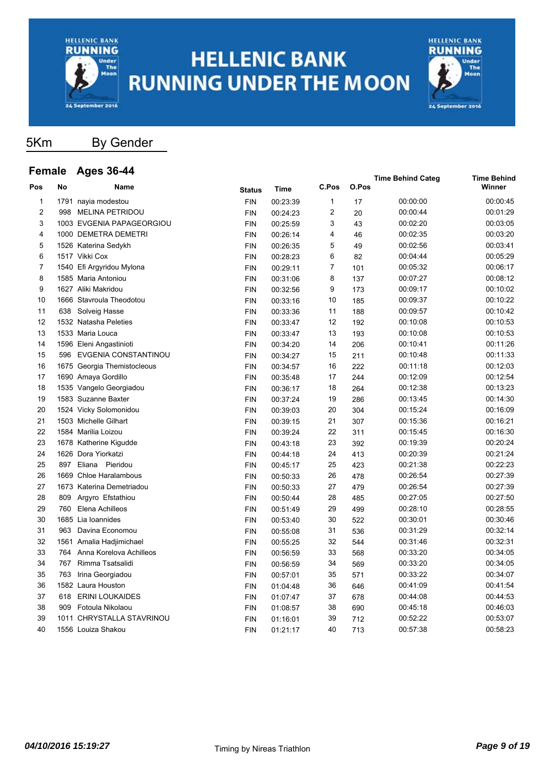



5Km By Gender

#### **Female Ages 36-44 Pos No Name Time C.Pos O.Pos Time Behind Categ Time Behind Status** Time C.Pos O.Pos **C.Pos** 1 1791 nayia modestou FIN 00:23:39 1 17 00:00:00 00:00:45 2 998 MELINA PETRIDOU FIN 00:24:23 2 20 00:00:44 00:01:29 3 1003 EVGENIA PAPAGEORGIOU FIN 00:25:59 3 43 00:02:20 00:03:05 4 1000 DEMETRA DEMETRI FIN 00:26:14 4 46 00:02:35 00:03:20 5 1526 Katerina Sedykh FIN 00:26:35 5 49 00:02:56 00:03:41 6 1517 Vikki Cox FIN 00:28:23 6 82 00:04:44 00:05:29 7 1540 Efi Argyridou Mylona FIN 00:29:11 7 101 00:05:32 00:06:17 8 1585 Maria Antoniou FIN 00:31:06 8 137 00:07:27 00:08:12 9 1627 Aliki Makridou FIN 00:32:56 9 173 00:09:17 00:10:02 10 1666 Stavroula Theodotou FIN 00:33:16 10 185 00:09:37 00:10:22 11 638 Solveig Hasse FIN 00:33:36 11 188 00:09:57 00:10:42 12 1532 Natasha Peleties FIN 00:33:47 12 192 00:10:08 00:10:53 13 1533 Maria Louca FIN 00:33:47 13 193 00:10:08 00:10:53 14 1596 Eleni Angastinioti FIN 00:34:20 14 206 00:10:41 00:11:26 15 596 EVGENIA CONSTANTINOU FIN 00:34:27 15 211 00:10:48 00:11:33 16 1675 Georgia Themistocleous FIN 00:34:57 16 222 00:11:18 00:12:03 17 1690 Amaya Gordillo FIN 00:35:48 17 244 00:12:09 00:12:54 18 1535 Vangelo Georgiadou FIN 00:36:17 18 264 00:12:38 00:13:23 19 1583 Suzanne Baxter FIN 00:37:24 19 286 00:13:45 00:14:30 20 1524 Vicky Solomonidou FIN 00:39:03 20 304 00:15:24 00:16:09 21 1503 Michelle Gilhart FIN 00:39:15 21 307 00:15:36 00:16:21 22 1584 Marilia Loizou FIN 00:39:24 22 311 00:15:45 00:16:30 23 1678 Katherine Kigudde FIN 00:43:18 23 392 00:19:39 00:20:24 24 1626 Dora Yiorkatzi FIN 00:44:18 24 413 00:20:39 00:21:24 25 897 Eliana Pieridou FIN 00:45:17 25 423 00:21:38 00:22:23 26 1669 Chloe Haralambous FIN 00:50:33 26 478 00:26:54 00:27:39 27 1673 Katerina Demetriadou FIN 00:50:33 27 479 00:26:54 00:27:39 28 809 Argyro Efstathiou FIN 00:50:44 28 485 00:27:05 00:27:50 29 760 Elena Achilleos FIN 00:51:49 29 499 00:28:10 00:28:55 30 1685 Lia Ioannides FIN 00:53:40 30 522 00:30:01 00:30:46 31 963 Davina Economou FIN 00:55:08 31 536 00:31:29 00:32:14 32 1561 Amalia Hadjimichael FIN 00:55:25 32 544 00:31:46 00:32:31 33 764 Anna Korelova Achilleos FIN 00:56:59 33 568 00:33:20 00:34:05 34 767 Rimma Tsatsalidi FIN 00:56:59 34 569 00:33:20 00:34:05 35 763 Irina Georgiadou FIN 00:57:01 35 571 00:33:22 00:34:07 36 1582 Laura Houston FIN 01:04:48 36 646 00:41:09 00:41:54 37 618 ERINI LOUKAIDES FIN 01:07:47 37 678 00:44:08 00:44:53 38 909 Fotoula Nikolaou FIN 01:08:57 38 690 00:45:18 00:46:03 39 1011 CHRYSTALLA STAVRINOU FIN 01:16:01 39 712 00:52:22 00:53:07 40 1556 Louiza Shakou FIN 01:21:17 40 713 00:57:38 00:58:23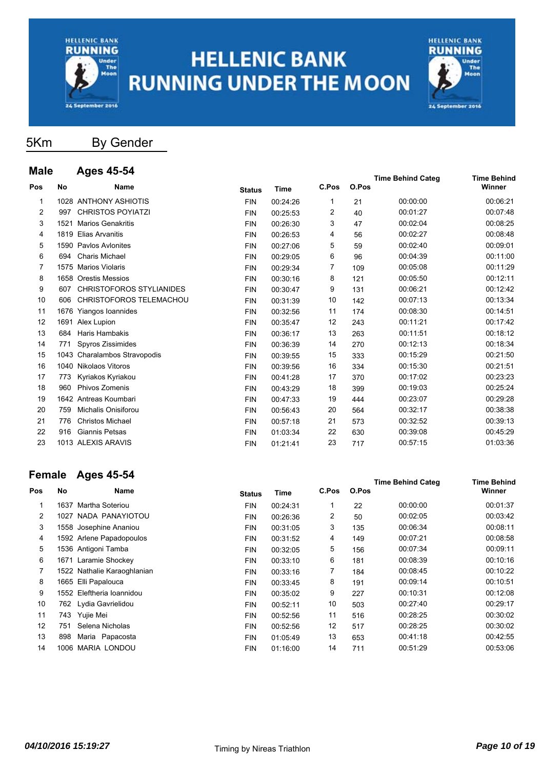



**Time Behind Categ Time Behind**

### 5Km By Gender

| <b>Male</b>    |           | Ages 45-54                      |               |             |       |       | <b>Time Behind Categ</b> | <b>Time Behind</b> |
|----------------|-----------|---------------------------------|---------------|-------------|-------|-------|--------------------------|--------------------|
| Pos            | <b>No</b> | Name                            | <b>Status</b> | <b>Time</b> | C.Pos | O.Pos |                          | Winner             |
| $\mathbf{1}$   |           | 1028 ANTHONY ASHIOTIS           | <b>FIN</b>    | 00:24:26    | 1     | 21    | 00:00:00                 | 00:06:21           |
| $\overline{2}$ | 997       | <b>CHRISTOS POYIATZI</b>        | <b>FIN</b>    | 00:25:53    | 2     | 40    | 00:01:27                 | 00:07:48           |
| 3              | 1521      | <b>Marios Genakritis</b>        | <b>FIN</b>    | 00:26:30    | 3     | 47    | 00:02:04                 | 00:08:25           |
| 4              |           | 1819 Elias Arvanitis            | <b>FIN</b>    | 00:26:53    | 4     | 56    | 00:02:27                 | 00:08:48           |
| 5              |           | 1590 Pavlos Avlonites           | <b>FIN</b>    | 00:27:06    | 5     | 59    | 00:02:40                 | 00:09:01           |
| 6              | 694       | <b>Charis Michael</b>           | <b>FIN</b>    | 00:29:05    | 6     | 96    | 00:04:39                 | 00:11:00           |
| 7              |           | 1575 Marios Violaris            | <b>FIN</b>    | 00:29:34    | 7     | 109   | 00:05:08                 | 00:11:29           |
| 8              |           | 1658 Orestis Messios            | <b>FIN</b>    | 00:30:16    | 8     | 121   | 00:05:50                 | 00:12:11           |
| 9              | 607       | <b>CHRISTOFOROS STYLIANIDES</b> | <b>FIN</b>    | 00:30:47    | 9     | 131   | 00:06:21                 | 00:12:42           |
| 10             | 606       | CHRISTOFOROS TELEMACHOU         | <b>FIN</b>    | 00:31:39    | 10    | 142   | 00:07:13                 | 00:13:34           |
| 11             |           | 1676 Yiangos Ioannides          | <b>FIN</b>    | 00:32:56    | 11    | 174   | 00:08:30                 | 00:14:51           |
| 12             |           | 1691 Alex Lupion                | <b>FIN</b>    | 00:35:47    | 12    | 243   | 00:11:21                 | 00:17:42           |
| 13             | 684       | Haris Hambakis                  | <b>FIN</b>    | 00:36:17    | 13    | 263   | 00:11:51                 | 00:18:12           |
| 14             | 771       | Spyros Zissimides               | <b>FIN</b>    | 00:36:39    | 14    | 270   | 00:12:13                 | 00:18:34           |
| 15             |           | 1043 Charalambos Stravopodis    | <b>FIN</b>    | 00:39:55    | 15    | 333   | 00:15:29                 | 00:21:50           |
| 16             |           | 1040 Nikolaos Vitoros           | <b>FIN</b>    | 00:39:56    | 16    | 334   | 00:15:30                 | 00:21:51           |
| 17             | 773       | Kyriakos Kyriakou               | <b>FIN</b>    | 00:41:28    | 17    | 370   | 00:17:02                 | 00:23:23           |
| 18             | 960       | Phivos Zomenis                  | <b>FIN</b>    | 00:43:29    | 18    | 399   | 00:19:03                 | 00:25:24           |
| 19             |           | 1642 Antreas Koumbari           | <b>FIN</b>    | 00:47:33    | 19    | 444   | 00:23:07                 | 00:29:28           |
| 20             | 759       | Michalis Onisiforou             | <b>FIN</b>    | 00:56:43    | 20    | 564   | 00:32:17                 | 00:38:38           |
| 21             | 776       | <b>Christos Michael</b>         | <b>FIN</b>    | 00:57:18    | 21    | 573   | 00:32:52                 | 00:39:13           |
| 22             | 916       | <b>Giannis Petsas</b>           | <b>FIN</b>    | 01:03:34    | 22    | 630   | 00:39:08                 | 00:45:29           |
| 23             |           | 1013 ALEXIS ARAVIS              | <b>FIN</b>    | 01:21:41    | 23    | 717   | 00:57:15                 | 01:03:36           |

### **Female Ages 45-54**

| Pos            | No   | Name                        | <b>Status</b> | Time     | C.Pos | O.Pos | $1.1110$ between the state of | Winner   |
|----------------|------|-----------------------------|---------------|----------|-------|-------|-------------------------------|----------|
|                | 1637 | Martha Soteriou             | <b>FIN</b>    | 00:24:31 | 1     | 22    | 00:00:00                      | 00:01:37 |
| $\overline{2}$ |      | 1027 NADA PANAYIOTOU        | <b>FIN</b>    | 00:26:36 | 2     | 50    | 00:02:05                      | 00:03:42 |
| 3              |      | 1558 Josephine Ananiou      | <b>FIN</b>    | 00:31:05 | 3     | 135   | 00:06:34                      | 00:08:11 |
| 4              |      | 1592 Arlene Papadopoulos    | <b>FIN</b>    | 00:31:52 | 4     | 149   | 00:07:21                      | 00:08:58 |
| 5              |      | 1536 Antigoni Tamba         | <b>FIN</b>    | 00:32:05 | 5     | 156   | 00:07:34                      | 00:09:11 |
| 6              |      | 1671 Laramie Shockey        | <b>FIN</b>    | 00:33:10 | 6     | 181   | 00:08:39                      | 00:10:16 |
| 7              |      | 1522 Nathalie Karaoghlanian | <b>FIN</b>    | 00:33:16 | 7     | 184   | 00:08:45                      | 00:10:22 |
| 8              |      | 1665 Elli Papalouca         | <b>FIN</b>    | 00:33:45 | 8     | 191   | 00:09:14                      | 00:10:51 |
| 9              |      | 1552 Eleftheria Ioannidou   | <b>FIN</b>    | 00:35:02 | 9     | 227   | 00:10:31                      | 00:12:08 |
| 10             |      | 762 Lydia Gavrielidou       | <b>FIN</b>    | 00:52:11 | 10    | 503   | 00:27:40                      | 00:29:17 |
| 11             | 743  | Yujie Mei                   | <b>FIN</b>    | 00:52:56 | 11    | 516   | 00:28:25                      | 00:30:02 |
| 12             | 751  | Selena Nicholas             | <b>FIN</b>    | 00:52:56 | 12    | 517   | 00:28:25                      | 00:30:02 |
| 13             | 898  | Maria Papacosta             | <b>FIN</b>    | 01:05:49 | 13    | 653   | 00:41:18                      | 00:42:55 |
| 14             | 1006 | <b>MARIA LONDOU</b>         | <b>FIN</b>    | 01:16:00 | 14    | 711   | 00:51:29                      | 00:53:06 |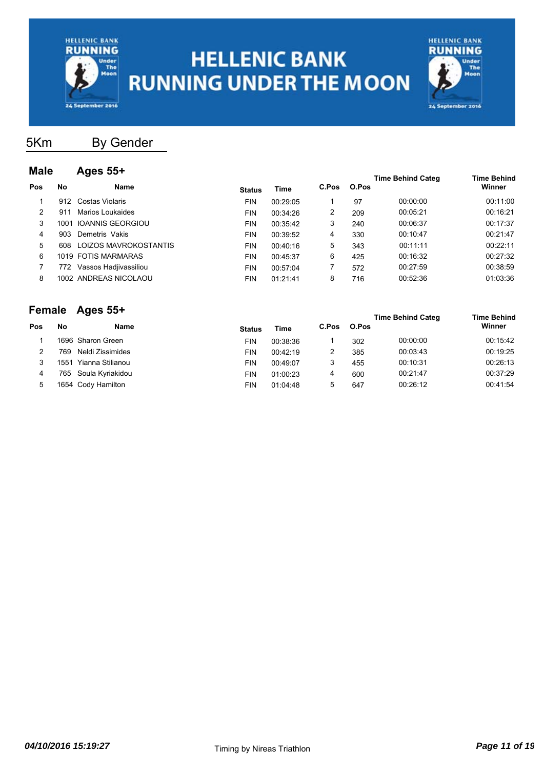



5Km By Gender

#### **Male Ages 55+**

| Maid |      | Ayca vu i             |               |          |       |       | <b>Time Behind Categ</b> | <b>Time Behind</b> |
|------|------|-----------------------|---------------|----------|-------|-------|--------------------------|--------------------|
| Pos  | No   | <b>Name</b>           | <b>Status</b> | Time     | C.Pos | O.Pos |                          | Winner             |
|      | 912  | Costas Violaris       | <b>FIN</b>    | 00:29:05 |       | 97    | 00:00:00                 | 00:11:00           |
| 2    | 911  | Marios Loukaides      | <b>FIN</b>    | 00:34:26 | 2     | 209   | 00:05:21                 | 00:16:21           |
| 3    | 1001 | IOANNIS GEORGIOU      | <b>FIN</b>    | 00:35:42 | 3     | 240   | 00:06:37                 | 00:17:37           |
| 4    | 903  | Demetris Vakis        | <b>FIN</b>    | 00:39:52 | 4     | 330   | 00:10:47                 | 00:21:47           |
| 5    | 608  | LOIZOS MAVROKOSTANTIS | <b>FIN</b>    | 00:40:16 | 5     | 343   | 00:11:11                 | 00:22:11           |
| 6    |      | 1019 FOTIS MARMARAS   | <b>FIN</b>    | 00:45:37 | 6     | 425   | 00:16:32                 | 00:27:32           |
|      | 772. | Vassos Hadjivassiliou | <b>FIN</b>    | 00:57:04 |       | 572   | 00:27:59                 | 00:38:59           |
| 8    |      | 1002 ANDREAS NICOLAOU | <b>FIN</b>    | 01:21:41 | 8     | 716   | 00:52:36                 | 01:03:36           |
|      |      |                       |               |          |       |       |                          |                    |

#### **Female Ages 55+**

| l elliale |      | — ду <del>с</del> э ээ⊤ |               |          |       |       | <b>Time Behind Categ</b> | <b>Time Behind</b> |
|-----------|------|-------------------------|---------------|----------|-------|-------|--------------------------|--------------------|
| Pos       | No   | Name                    | <b>Status</b> | Time     | C.Pos | O.Pos |                          | Winner             |
|           |      | 1696 Sharon Green       | FIN           | 00:38:36 |       | 302   | 00:00:00                 | 00:15:42           |
|           | 769  | Neldi Zissimides        | <b>FIN</b>    | 00:42:19 | 2     | 385   | 00:03:43                 | 00:19:25           |
|           | 1551 | Yianna Stilianou        | <b>FIN</b>    | 00:49:07 | 3     | 455   | 00:10:31                 | 00:26:13           |
| 4         |      | 765 Soula Kyriakidou    | <b>FIN</b>    | 01:00:23 | 4     | 600   | 00:21:47                 | 00:37:29           |
| 5         |      | 1654  Cody Hamilton     | FIN           | 01:04:48 | 5     | 647   | 00:26:12                 | 00:41:54           |
|           |      |                         |               |          |       |       |                          |                    |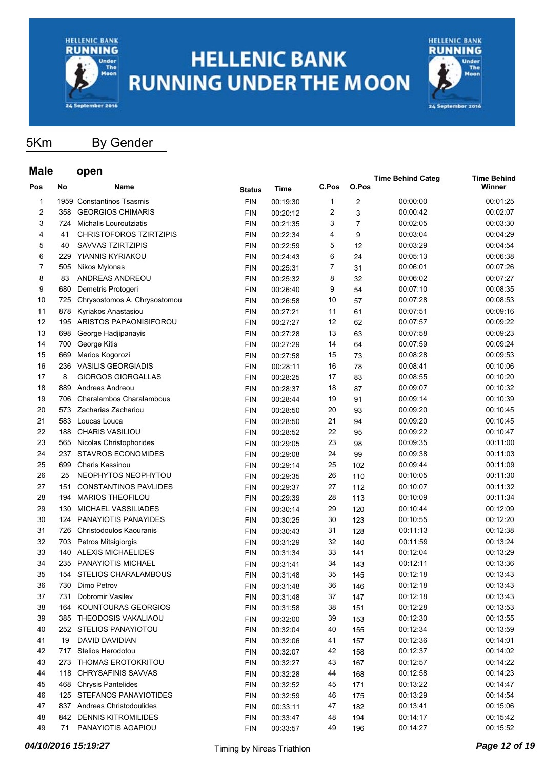



5Km By Gender

#### **Male open**

| Mala |     | open                           |            |          |       |                         | <b>Time Behind Categ</b> | <b>Time Behind</b> |
|------|-----|--------------------------------|------------|----------|-------|-------------------------|--------------------------|--------------------|
| Pos  | No  | Name                           | Status     | Time     | C.Pos | O.Pos                   |                          | Winner             |
| 1    |     | 1959 Constantinos Tsasmis      | <b>FIN</b> | 00:19:30 | 1     | $\overline{\mathbf{c}}$ | 00:00:00                 | 00:01:25           |
| 2    | 358 | <b>GEORGIOS CHIMARIS</b>       | <b>FIN</b> | 00:20:12 | 2     | 3                       | 00:00:42                 | 00:02:07           |
| 3    | 724 | Michalis Louroutziatis         | <b>FIN</b> | 00:21:35 | 3     | $\overline{7}$          | 00:02:05                 | 00:03:30           |
| 4    | 41  | <b>CHRISTOFOROS TZIRTZIPIS</b> | <b>FIN</b> | 00:22:34 | 4     | 9                       | 00:03:04                 | 00:04:29           |
| 5    | 40  | <b>SAVVAS TZIRTZIPIS</b>       | <b>FIN</b> | 00:22:59 | 5     | 12                      | 00:03:29                 | 00:04:54           |
| 6    | 229 | YIANNIS KYRIAKOU               | <b>FIN</b> | 00:24:43 | 6     | 24                      | 00:05:13                 | 00:06:38           |
| 7    | 505 | Nikos Mylonas                  | <b>FIN</b> | 00:25:31 | 7     | 31                      | 00:06:01                 | 00:07:26           |
| 8    | 83  | ANDREAS ANDREOU                | <b>FIN</b> | 00:25:32 | 8     | 32                      | 00:06:02                 | 00:07:27           |
| 9    | 680 | Demetris Protogeri             | <b>FIN</b> | 00:26:40 | 9     | 54                      | 00:07:10                 | 00:08:35           |
| 10   | 725 | Chrysostomos A. Chrysostomou   | <b>FIN</b> | 00:26:58 | 10    | 57                      | 00:07:28                 | 00:08:53           |
| 11   | 878 | Kyriakos Anastasiou            | <b>FIN</b> | 00:27:21 | 11    | 61                      | 00:07:51                 | 00:09:16           |
| 12   | 195 | ARISTOS PAPAONISIFOROU         | <b>FIN</b> | 00:27:27 | 12    | 62                      | 00:07:57                 | 00:09:22           |
| 13   | 698 | George Hadjipanayis            | <b>FIN</b> | 00:27:28 | 13    | 63                      | 00:07:58                 | 00:09:23           |
| 14   | 700 | George Kitis                   | <b>FIN</b> | 00:27:29 | 14    | 64                      | 00:07:59                 | 00:09:24           |
| 15   | 669 | Marios Kogorozi                | <b>FIN</b> | 00:27:58 | 15    | 73                      | 00:08:28                 | 00:09:53           |
| 16   | 236 | <b>VASILIS GEORGIADIS</b>      | <b>FIN</b> | 00:28:11 | 16    | 78                      | 00:08:41                 | 00:10:06           |
| 17   | 8   | <b>GIORGOS GIORGALLAS</b>      | <b>FIN</b> | 00:28:25 | 17    | 83                      | 00:08:55                 | 00:10:20           |
| 18   | 889 | Andreas Andreou                | <b>FIN</b> | 00:28:37 | 18    | 87                      | 00:09:07                 | 00:10:32           |
| 19   | 706 | Charalambos Charalambous       | <b>FIN</b> | 00:28:44 | 19    | 91                      | 00:09:14                 | 00:10:39           |
| 20   | 573 | Zacharias Zachariou            | <b>FIN</b> | 00:28:50 | 20    | 93                      | 00:09:20                 | 00:10:45           |
| 21   | 583 | Loucas Louca                   | <b>FIN</b> | 00:28:50 | 21    | 94                      | 00:09:20                 | 00:10:45           |
| 22   | 188 | <b>CHARIS VASILIOU</b>         | <b>FIN</b> | 00:28:52 | 22    | 95                      | 00:09:22                 | 00:10:47           |
| 23   | 565 | Nicolas Christophorides        | <b>FIN</b> | 00:29:05 | 23    | 98                      | 00:09:35                 | 00:11:00           |
| 24   | 237 | <b>STAVROS ECONOMIDES</b>      | <b>FIN</b> | 00:29:08 | 24    | 99                      | 00:09:38                 | 00:11:03           |
| 25   | 699 | Charis Kassinou                | <b>FIN</b> | 00:29:14 | 25    | 102                     | 00:09:44                 | 00:11:09           |
| 26   | 25  | NEOPHYTOS NEOPHYTOU            | <b>FIN</b> | 00:29:35 | 26    | 110                     | 00:10:05                 | 00:11:30           |
| 27   | 151 | <b>CONSTANTINOS PAVLIDES</b>   | <b>FIN</b> | 00:29:37 | 27    | 112                     | 00:10:07                 | 00:11:32           |
| 28   | 194 | <b>MARIOS THEOFILOU</b>        | <b>FIN</b> | 00:29:39 | 28    | 113                     | 00:10:09                 | 00:11:34           |
| 29   | 130 | MICHAEL VASSILIADES            | <b>FIN</b> | 00:30:14 | 29    | 120                     | 00:10:44                 | 00:12:09           |
| 30   | 124 | PANAYIOTIS PANAYIDES           | <b>FIN</b> | 00:30:25 | 30    | 123                     | 00:10:55                 | 00:12:20           |
| 31   | 726 | Christodoulos Kaouranis        | <b>FIN</b> | 00:30:43 | 31    | 128                     | 00:11:13                 | 00:12:38           |
| 32   | 703 | Petros Mitsigiorgis            | <b>FIN</b> | 00:31:29 | 32    | 140                     | 00:11:59                 | 00:13:24           |
| 33   | 140 | <b>ALEXIS MICHAELIDES</b>      | <b>FIN</b> | 00:31:34 | 33    | 141                     | 00:12:04                 | 00:13:29           |
| 34   | 235 | PANAYIOTIS MICHAEL             | <b>FIN</b> | 00:31:41 | 34    | 143                     | 00:12:11                 | 00:13:36           |
| 35   | 154 | <b>STELIOS CHARALAMBOUS</b>    | <b>FIN</b> | 00:31:48 | 35    | 145                     | 00:12:18                 | 00:13:43           |
| 36   | 730 | Dimo Petrov                    | <b>FIN</b> | 00:31:48 | 36    | 146                     | 00:12:18                 | 00:13:43           |
| 37   | 731 | Dobromir Vasilev               | <b>FIN</b> | 00:31:48 | 37    | 147                     | 00:12:18                 | 00:13:43           |
| 38   | 164 | KOUNTOURAS GEORGIOS            | <b>FIN</b> | 00:31:58 | 38    | 151                     | 00:12:28                 | 00:13:53           |
| 39   |     | 385 THEODOSIS VAKALIAOU        | <b>FIN</b> | 00:32:00 | 39    | 153                     | 00:12:30                 | 00:13:55           |
| 40   |     | 252 STELIOS PANAYIOTOU         | <b>FIN</b> | 00:32:04 | 40    | 155                     | 00:12:34                 | 00:13:59           |
| 41   | 19  | DAVID DAVIDIAN                 | <b>FIN</b> | 00:32:06 | 41    | 157                     | 00:12:36                 | 00:14:01           |
| 42   | 717 | Stelios Herodotou              | <b>FIN</b> | 00:32:07 | 42    | 158                     | 00:12:37                 | 00:14:02           |
| 43   | 273 | <b>THOMAS EROTOKRITOU</b>      | <b>FIN</b> | 00:32:27 | 43    | 167                     | 00:12:57                 | 00:14:22           |
| 44   |     | 118 CHRYSAFINIS SAVVAS         | <b>FIN</b> | 00:32:28 | 44    | 168                     | 00:12:58                 | 00:14:23           |
| 45   | 468 | <b>Chrysis Pantelides</b>      | <b>FIN</b> | 00:32:52 | 45    | 171                     | 00:13:22                 | 00:14:47           |
| 46   |     | 125 STEFANOS PANAYIOTIDES      | <b>FIN</b> | 00:32:59 | 46    | 175                     | 00:13:29                 | 00:14:54           |
| 47   | 837 | Andreas Christodoulides        | <b>FIN</b> | 00:33:11 | 47    | 182                     | 00:13:41                 | 00:15:06           |
| 48   | 842 | <b>DENNIS KITROMILIDES</b>     | <b>FIN</b> | 00:33:47 | 48    | 194                     | 00:14:17                 | 00:15:42           |
| 49   | 71  | PANAYIOTIS AGAPIOU             | <b>FIN</b> | 00:33:57 | 49    | 196                     | 00:14:27                 | 00:15:52           |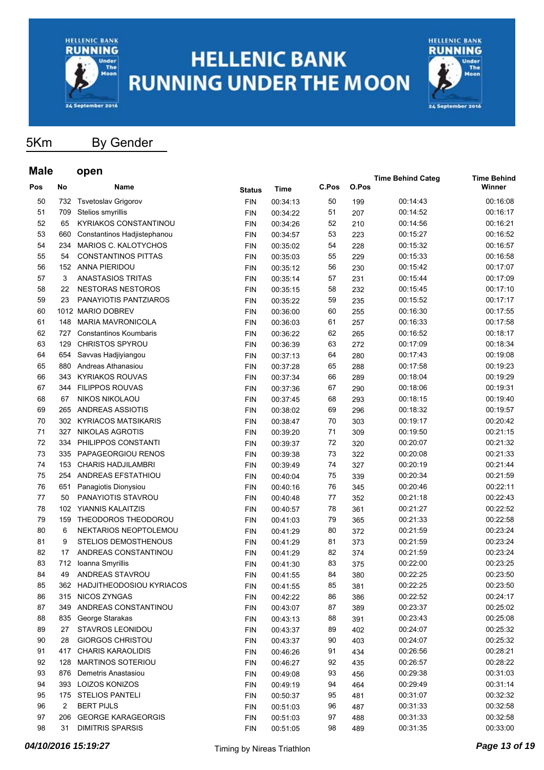



5Km By Gender

#### **Male open Pos No Name Time C.Pos O.Pos Time Behind Categ Time Behind Status** Time C.Pos O.Pos **C.Pos** 50 732 Tsvetoslav Grigorov FIN 00:34:13 50 199 00:14:43 00:16:08 51 709 Stelios smyrillis FIN 00:34:22 51 207 00:14:52 00:16:17 52 65 KYRIAKOS CONSTANTINOU FIN 00:34:26 52 210 00:14:56 00:16:21 53 660 Constantinos Hadjistephanou FIN 00:34:57 53 223 00:15:27 00:16:52 54 234 MARIOS C. KALOTYCHOS FIN 00:35:02 54 228 00:15:32 00:16:57 55 54 CONSTANTINOS PITTAS FIN 00:35:03 55 229 00:15:33 00:16:58 56 152 ANNA PIERIDOU FIN 00:35:12 56 230 00:15:42 00:17:07 57 3 ANASTASIOS TRITAS FIN 00:35:14 57 231 00:15:44 00:17:09 58 22 NESTORAS NESTOROS FIN 00:35:15 58 232 00:15:45 00:17:10 59 23 PANAYIOTIS PANTZIAROS FIN 00:35:22 59 235 00:15:52 00:17:17 60 1012 MARIO DOBREV FIN 00:36:00 60 255 00:16:30 00:17:55 61 148 MARIA MAVRONICOLA FIN 00:36:03 61 257 00:16:33 00:17:58 62 727 Constantinos Koumbaris FIN 00:36:22 62 265 00:16:52 00:18:17 63 129 CHRISTOS SPYROU FIN 00:36:39 63 272 00:17:09 00:18:34 64 654 Savvas Hadjiyiangou FIN 00:37:13 64 280 00:17:43 00:19:08 65 880 Andreas Athanasiou FIN 00:37:28 65 288 00:17:58 00:19:23 66 343 KYRIAKOS ROUVAS FIN 00:37:34 66 289 00:18:04 00:19:29 67 344 FILIPPOS ROUVAS FIN 00:37:36 67 290 00:18:06 00:19:31 68 67 NIKOS NIKOLAOU FIN 00:37:45 68 293 00:18:15 00:19:40 69 265 ANDREAS ASSIOTIS FIN 00:38:02 69 296 00:18:32 00:19:57 70 302 KYRIACOS MATSIKARIS FIN 00:38:47 70 303 00:19:17 00:20:42 71 327 NIKOLAS AGROTIS FIN 00:39:20 71 309 00:19:50 00:21:15 72 334 PHILIPPOS CONSTANTI FIN 00:39:37 72 320 00:20:07 00:21:32 73 335 PAPAGEORGIOU RENOS FIN 00:39:38 73 322 00:20:08 00:21:33 74 153 CHARIS HADJILAMBRI FIN 00:39:49 74 327 00:20:19 00:21:44 75 254 ANDREAS EFSTATHIOU FIN 00:40:04 75 339 00:20:34 00:21:59 76 651 Panagiotis Dionysiou FIN 00:40:16 76 345 00:20:46 00:22:11 77 50 PANAYIOTIS STAVROU FIN 00:40:48 77 352 00:21:18 00:22:43 78 102 YIANNIS KALAITZIS FIN 00:40:57 78 361 00:21:27 00:22:52 79 159 THEODOROS THEODOROU FIN 00:41:03 79 365 00:21:33 00:22:58 80 6 NEKTARIOS NEOPTOLEMOU FIN 00:41:29 80 372 00:21:59 00:23:24 81 9 STELIOS DEMOSTHENOUS FIN 00:41:29 81 373 00:21:59 00:23:24 82 17 ANDREAS CONSTANTINOU FIN 00:41:29 82 374 00:21:59 00:23:24 83 712 Ioanna Smyrillis FIN 00:41:30 83 375 00:22:00 00:23:25 84 49 ANDREAS STAVROU FIN 00:41:55 84 380 00:22:25 00:23:50 85 362 HADJITHEODOSIOU KYRIACOS FIN 00:41:55 85 381 00:22:25 00:23:50 86 315 NICOS ZYNGAS FIN 00:42:22 86 386 00:22:52 00:24:17 87 349 ANDREAS CONSTANTINOU FIN 00:43:07 87 389 00:23:37 00:25:02 88 835 George Starakas FIN 00:43:13 88 391 00:23:43 00:25:08 89 27 STAVROS LEONIDOU FIN 00:43:37 89 402 00:24:07 00:25:32 90 28 GIORGOS CHRISTOU FIN 00:43:37 90 403 00:24:07 00:25:32 91 417 CHARIS KARAOLIDIS FIN 00:46:26 91 434 00:26:56 00:28:21 92 128 MARTINOS SOTERIOU FIN 00:46:27 92 435 00:26:57 00:28:22 93 876 Demetris Anastasiou FIN 00:49:08 93 456 00:29:38 00:31:03 94 393 LOIZOS KONIZOS FIN 00:49:19 94 464 00:29:49 00:31:14 95 175 STELIOS PANTELI FIN 00:50:37 95 481 00:31:07 00:32:32 96 2 BERT PIJLS FIN 00:51:03 96 487 00:31:33 00:32:58 97 206 GEORGE KARAGEORGIS FIN 00:51:03 97 488 00:31:33 00:32:58

98 31 DIMITRIS SPARSIS FIN 00:51:05 98 489 00:31:35 00:33:00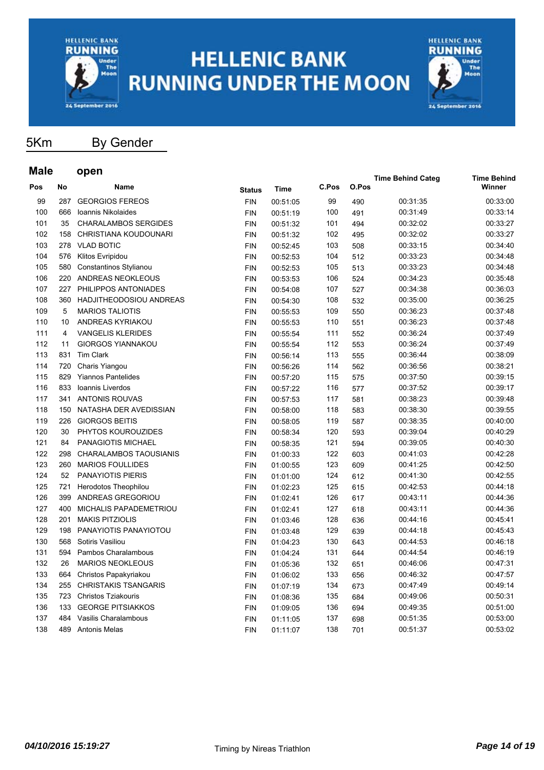



5Km By Gender

### **Male open**

| Male |           | open                          |               |             |       |       | <b>Time Behind Categ</b> | <b>Time Behind</b> |
|------|-----------|-------------------------------|---------------|-------------|-------|-------|--------------------------|--------------------|
| Pos  | <b>No</b> | Name                          | <b>Status</b> | <b>Time</b> | C.Pos | O.Pos |                          | Winner             |
| 99   | 287       | <b>GEORGIOS FEREOS</b>        | <b>FIN</b>    | 00:51:05    | 99    | 490   | 00:31:35                 | 00:33:00           |
| 100  | 666       | Ioannis Nikolaides            | <b>FIN</b>    | 00:51:19    | 100   | 491   | 00:31:49                 | 00:33:14           |
| 101  | 35        | <b>CHARALAMBOS SERGIDES</b>   | <b>FIN</b>    | 00:51:32    | 101   | 494   | 00:32:02                 | 00:33:27           |
| 102  | 158       | CHRISTIANA KOUDOUNARI         | <b>FIN</b>    | 00:51:32    | 102   | 495   | 00:32:02                 | 00:33:27           |
| 103  |           | 278 VLAD BOTIC                | <b>FIN</b>    | 00:52:45    | 103   | 508   | 00:33:15                 | 00:34:40           |
| 104  | 576       | Klitos Evripidou              | <b>FIN</b>    | 00:52:53    | 104   | 512   | 00:33:23                 | 00:34:48           |
| 105  | 580       | Constantinos Stylianou        | <b>FIN</b>    | 00:52:53    | 105   | 513   | 00:33:23                 | 00:34:48           |
| 106  |           | 220 ANDREAS NEOKLEOUS         | <b>FIN</b>    | 00:53:53    | 106   | 524   | 00:34:23                 | 00:35:48           |
| 107  | 227       | PHILIPPOS ANTONIADES          | <b>FIN</b>    | 00:54:08    | 107   | 527   | 00:34:38                 | 00:36:03           |
| 108  | 360       | HADJITHEODOSIOU ANDREAS       | <b>FIN</b>    | 00:54:30    | 108   | 532   | 00:35:00                 | 00:36:25           |
| 109  | 5         | <b>MARIOS TALIOTIS</b>        | <b>FIN</b>    | 00:55:53    | 109   | 550   | 00:36:23                 | 00:37:48           |
| 110  | 10        | ANDREAS KYRIAKOU              | <b>FIN</b>    | 00:55:53    | 110   | 551   | 00:36:23                 | 00:37:48           |
| 111  | 4         | <b>VANGELIS KLERIDES</b>      | <b>FIN</b>    | 00:55:54    | 111   | 552   | 00:36:24                 | 00:37:49           |
| 112  | 11        | <b>GIORGOS YIANNAKOU</b>      | <b>FIN</b>    | 00:55:54    | 112   | 553   | 00:36:24                 | 00:37:49           |
| 113  | 831       | <b>Tim Clark</b>              | <b>FIN</b>    | 00:56:14    | 113   | 555   | 00:36:44                 | 00:38:09           |
| 114  | 720       | Charis Yiangou                | <b>FIN</b>    | 00:56:26    | 114   | 562   | 00:36:56                 | 00:38:21           |
| 115  | 829       | <b>Yiannos Pantelides</b>     | <b>FIN</b>    | 00:57:20    | 115   | 575   | 00:37:50                 | 00:39:15           |
| 116  | 833       | Ioannis Liverdos              | <b>FIN</b>    | 00:57:22    | 116   | 577   | 00:37:52                 | 00:39:17           |
| 117  | 341       | <b>ANTONIS ROUVAS</b>         | <b>FIN</b>    | 00:57:53    | 117   | 581   | 00:38:23                 | 00:39:48           |
| 118  | 150       | NATASHA DER AVEDISSIAN        | <b>FIN</b>    | 00:58:00    | 118   | 583   | 00:38:30                 | 00:39:55           |
| 119  | 226       | <b>GIORGOS BEITIS</b>         | <b>FIN</b>    | 00:58:05    | 119   | 587   | 00:38:35                 | 00:40:00           |
| 120  | 30        | PHYTOS KOUROUZIDES            | <b>FIN</b>    | 00:58:34    | 120   | 593   | 00:39:04                 | 00:40:29           |
| 121  | 84        | PANAGIOTIS MICHAEL            | <b>FIN</b>    | 00:58:35    | 121   | 594   | 00:39:05                 | 00:40:30           |
| 122  | 298       | <b>CHARALAMBOS TAOUSIANIS</b> | <b>FIN</b>    | 01:00:33    | 122   | 603   | 00:41:03                 | 00:42:28           |
| 123  | 260       | <b>MARIOS FOULLIDES</b>       | <b>FIN</b>    | 01:00:55    | 123   | 609   | 00:41:25                 | 00:42:50           |
| 124  | 52        | <b>PANAYIOTIS PIERIS</b>      | <b>FIN</b>    | 01:01:00    | 124   | 612   | 00:41:30                 | 00:42:55           |
| 125  | 721       | Herodotos Theophilou          | <b>FIN</b>    | 01:02:23    | 125   | 615   | 00:42:53                 | 00:44:18           |
| 126  | 399       | ANDREAS GREGORIOU             | <b>FIN</b>    | 01:02:41    | 126   | 617   | 00:43:11                 | 00:44:36           |
| 127  | 400       | MICHALIS PAPADEMETRIOU        | <b>FIN</b>    | 01:02:41    | 127   | 618   | 00:43:11                 | 00:44:36           |
| 128  | 201       | <b>MAKIS PITZIOLIS</b>        | <b>FIN</b>    | 01:03:46    | 128   | 636   | 00:44:16                 | 00:45:41           |
| 129  | 198       | PANAYIOTIS PANAYIOTOU         | <b>FIN</b>    | 01:03:48    | 129   | 639   | 00:44:18                 | 00:45:43           |
| 130  | 568       | Sotiris Vasiliou              | <b>FIN</b>    | 01:04:23    | 130   | 643   | 00:44:53                 | 00:46:18           |
| 131  | 594       | Pambos Charalambous           | <b>FIN</b>    | 01:04:24    | 131   | 644   | 00:44:54                 | 00:46:19           |
| 132  | 26        | <b>MARIOS NEOKLEOUS</b>       | <b>FIN</b>    | 01:05:36    | 132   | 651   | 00:46:06                 | 00:47:31           |
| 133  | 664       | Christos Papakyriakou         | <b>FIN</b>    | 01:06:02    | 133   | 656   | 00:46:32                 | 00:47:57           |
| 134  | 255       | <b>CHRISTAKIS TSANGARIS</b>   | <b>FIN</b>    | 01:07:19    | 134   | 673   | 00:47:49                 | 00:49:14           |
| 135  | 723       | <b>Christos Tziakouris</b>    | <b>FIN</b>    | 01:08:36    | 135   | 684   | 00:49:06                 | 00:50:31           |
| 136  | 133       | <b>GEORGE PITSIAKKOS</b>      | <b>FIN</b>    | 01:09:05    | 136   | 694   | 00:49:35                 | 00:51:00           |
| 137  | 484       | Vasilis Charalambous          | <b>FIN</b>    | 01:11:05    | 137   | 698   | 00:51:35                 | 00:53:00           |
| 138  | 489       | Antonis Melas                 | <b>FIN</b>    | 01:11:07    | 138   | 701   | 00:51:37                 | 00:53:02           |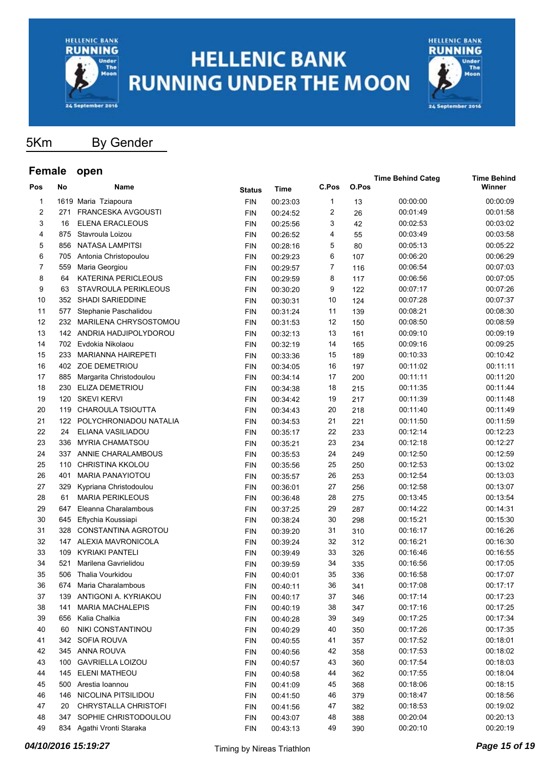



5Km By Gender

| <b>L</b> emaie |     | υμαιι                      |               |             |       |       | <b>Time Behind Categ</b> | <b>Time Behind</b> |
|----------------|-----|----------------------------|---------------|-------------|-------|-------|--------------------------|--------------------|
| Pos            | No  | Name                       | <b>Status</b> | <b>Time</b> | C.Pos | O.Pos |                          | Winner             |
| 1              |     | 1619 Maria Tziapoura       | <b>FIN</b>    | 00:23:03    | 1     | 13    | 00:00:00                 | 00:00:09           |
| 2              | 271 | <b>FRANCESKA AVGOUSTI</b>  | <b>FIN</b>    | 00:24:52    | 2     | 26    | 00:01:49                 | 00:01:58           |
| 3              | 16  | ELENA ERACLEOUS            | <b>FIN</b>    | 00:25:56    | 3     | 42    | 00:02:53                 | 00:03:02           |
| 4              | 875 | Stavroula Loizou           | <b>FIN</b>    | 00:26:52    | 4     | 55    | 00:03:49                 | 00:03:58           |
| 5              | 856 | <b>NATASA LAMPITSI</b>     | <b>FIN</b>    | 00:28:16    | 5     | 80    | 00:05:13                 | 00:05:22           |
| 6              | 705 | Antonia Christopoulou      | <b>FIN</b>    | 00:29:23    | 6     | 107   | 00:06:20                 | 00:06:29           |
| 7              | 559 | Maria Georgiou             | <b>FIN</b>    | 00:29:57    | 7     | 116   | 00:06:54                 | 00:07:03           |
| 8              | 64  | <b>KATERINA PERICLEOUS</b> | <b>FIN</b>    | 00:29:59    | 8     | 117   | 00:06:56                 | 00:07:05           |
| 9              | 63  | STAVROULA PERIKLEOUS       | <b>FIN</b>    | 00:30:20    | 9     | 122   | 00:07:17                 | 00:07:26           |
| 10             |     | 352 SHADI SARIEDDINE       | <b>FIN</b>    | 00:30:31    | 10    | 124   | 00:07:28                 | 00:07:37           |
| 11             | 577 | Stephanie Paschalidou      | <b>FIN</b>    | 00:31:24    | 11    | 139   | 00:08:21                 | 00:08:30           |
| 12             |     | 232 MARILENA CHRYSOSTOMOU  | <b>FIN</b>    | 00:31:53    | 12    | 150   | 00:08:50                 | 00:08:59           |
| 13             |     | 142 ANDRIA HADJIPOLYDOROU  | <b>FIN</b>    | 00:32:13    | 13    | 161   | 00:09:10                 | 00:09:19           |
| 14             | 702 | Evdokia Nikolaou           | <b>FIN</b>    | 00:32:19    | 14    | 165   | 00:09:16                 | 00:09:25           |
| 15             | 233 | <b>MARIANNA HAIREPETI</b>  | <b>FIN</b>    | 00:33:36    | 15    | 189   | 00:10:33                 | 00:10:42           |
| 16             |     | 402 ZOE DEMETRIOU          | <b>FIN</b>    | 00:34:05    | 16    | 197   | 00:11:02                 | 00:11:11           |
| 17             | 885 | Margarita Christodoulou    | <b>FIN</b>    | 00:34:14    | 17    | 200   | 00:11:11                 | 00:11:20           |
| 18             | 230 | ELIZA DEMETRIOU            | <b>FIN</b>    | 00:34:38    | 18    | 215   | 00:11:35                 | 00:11:44           |
| 19             | 120 | <b>SKEVI KERVI</b>         | <b>FIN</b>    | 00:34:42    | 19    | 217   | 00:11:39                 | 00:11:48           |
| 20             |     | 119 CHAROULA TSIOUTTA      | <b>FIN</b>    | 00:34:43    | 20    | 218   | 00:11:40                 | 00:11:49           |
| 21             |     | 122 POLYCHRONIADOU NATALIA | <b>FIN</b>    | 00:34:53    | 21    | 221   | 00:11:50                 | 00:11:59           |
| 22             | 24  | ELIANA VASILIADOU          | <b>FIN</b>    | 00:35:17    | 22    | 233   | 00:12:14                 | 00:12:23           |
| 23             | 336 | <b>MYRIA CHAMATSOU</b>     | <b>FIN</b>    | 00:35:21    | 23    | 234   | 00:12:18                 | 00:12:27           |
| 24             |     | 337 ANNIE CHARALAMBOUS     | <b>FIN</b>    | 00:35:53    | 24    | 249   | 00:12:50                 | 00:12:59           |
| 25             | 110 | <b>CHRISTINA KKOLOU</b>    | <b>FIN</b>    | 00:35:56    | 25    | 250   | 00:12:53                 | 00:13:02           |
| 26             | 401 | <b>MARIA PANAYIOTOU</b>    | <b>FIN</b>    | 00:35:57    | 26    | 253   | 00:12:54                 | 00:13:03           |
| 27             | 329 | Kypriana Christodoulou     | <b>FIN</b>    | 00:36:01    | 27    | 256   | 00:12:58                 | 00:13:07           |
| 28             | 61  | <b>MARIA PERIKLEOUS</b>    | <b>FIN</b>    | 00:36:48    | 28    | 275   | 00:13:45                 | 00:13:54           |
| 29             | 647 | Eleanna Charalambous       | <b>FIN</b>    | 00:37:25    | 29    | 287   | 00:14:22                 | 00:14:31           |
| 30             | 645 | Eftychia Koussiapi         | <b>FIN</b>    | 00:38:24    | 30    | 298   | 00:15:21                 | 00:15:30           |
| 31             | 328 | CONSTANTINA AGROTOU        | <b>FIN</b>    | 00:39:20    | 31    | 310   | 00:16:17                 | 00:16:26           |
| 32             |     | 147 ALEXIA MAVRONICOLA     | <b>FIN</b>    | 00:39:24    | 32    | 312   | 00:16:21                 | 00:16:30           |
| 33             | 109 | <b>KYRIAKI PANTELI</b>     | <b>FIN</b>    | 00:39:49    | 33    | 326   | 00:16:46                 | 00:16:55           |
| 34             | 521 | Marilena Gavrielidou       | <b>FIN</b>    | 00:39:59    | 34    | 335   | 00:16:56                 | 00:17:05           |
| 35             | 506 | Thalia Vourkidou           | <b>FIN</b>    | 00:40:01    | 35    | 336   | 00:16:58                 | 00:17:07           |
| 36             | 674 | Maria Charalambous         | FIN           | 00:40:11    | 36    | 341   | 00:17:08                 | 00:17:17           |
| 37             |     | 139 ANTIGONI A. KYRIAKOU   | <b>FIN</b>    | 00:40:17    | 37    | 346   | 00:17:14                 | 00:17:23           |
| 38             | 141 | <b>MARIA MACHALEPIS</b>    | <b>FIN</b>    | 00:40:19    | 38    | 347   | 00:17:16                 | 00:17:25           |
| 39             |     | 656 Kalia Chalkia          | <b>FIN</b>    | 00:40:28    | 39    | 349   | 00:17:25                 | 00:17:34           |
| 40             | 60  | NIKI CONSTANTINOU          | <b>FIN</b>    | 00:40:29    | 40    | 350   | 00:17:26                 | 00:17:35           |
| 41             |     | 342 SOFIA ROUVA            | <b>FIN</b>    | 00:40:55    | 41    | 357   | 00:17:52                 | 00:18:01           |
| 42             |     | 345 ANNA ROUVA             | <b>FIN</b>    | 00:40:56    | 42    | 358   | 00:17:53                 | 00:18:02           |
| 43             | 100 | <b>GAVRIELLA LOIZOU</b>    | <b>FIN</b>    | 00:40:57    | 43    | 360   | 00:17:54                 | 00:18:03           |
| 44             | 145 | <b>ELENI MATHEOU</b>       | <b>FIN</b>    | 00:40:58    | 44    | 362   | 00:17:55                 | 00:18:04           |
| 45             |     | 500 Arestia Ioannou        | <b>FIN</b>    | 00:41:09    | 45    | 368   | 00:18:06                 | 00:18:15           |
| 46             |     | 146 NICOLINA PITSILIDOU    | <b>FIN</b>    | 00:41:50    | 46    | 379   | 00:18:47                 | 00:18:56           |
| 47             | 20  | CHRYSTALLA CHRISTOFI       | <b>FIN</b>    | 00:41:56    | 47    | 382   | 00:18:53                 | 00:19:02           |
| 48             | 347 | SOPHIE CHRISTODOULOU       | <b>FIN</b>    | 00:43:07    | 48    | 388   | 00:20:04                 | 00:20:13           |
| 49             |     | 834 Agathi Vronti Staraka  | <b>FIN</b>    | 00:43:13    | 49    | 390   | 00:20:10                 | 00:20:19           |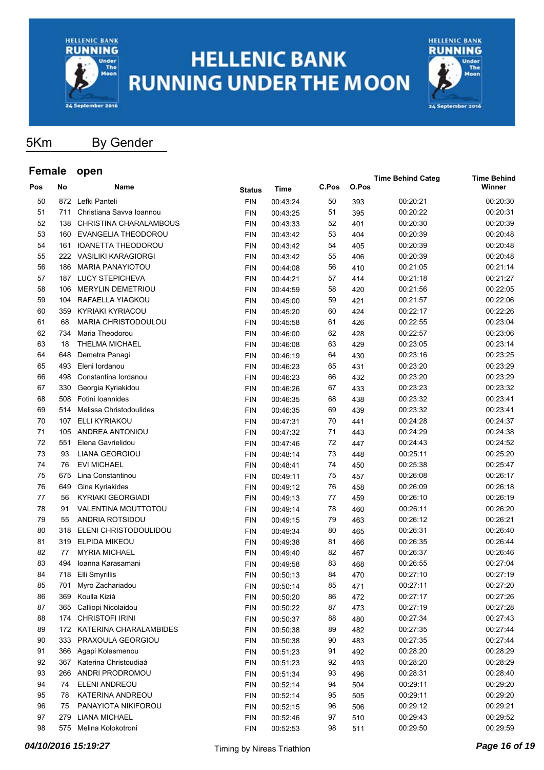



**Time Behind Categ Time Behind**

5Km By Gender

| Pos | No  | Name                      | Status     | Time     | C.Pos | O.Pos |          | Winner   |
|-----|-----|---------------------------|------------|----------|-------|-------|----------|----------|
| 50  |     | 872 Lefki Panteli         | <b>FIN</b> | 00:43:24 | 50    | 393   | 00:20:21 | 00:20:30 |
| 51  | 711 | Christiana Savva Ioannou  | <b>FIN</b> | 00:43:25 | 51    | 395   | 00:20:22 | 00:20:31 |
| 52  | 138 | CHRISTINA CHARALAMBOUS    | FIN        | 00:43:33 | 52    | 401   | 00:20:30 | 00:20:39 |
| 53  | 160 | EVANGELIA THEODOROU       | FIN        | 00:43:42 | 53    | 404   | 00:20:39 | 00:20:48 |
| 54  | 161 | <b>IOANETTA THEODOROU</b> | FIN        | 00:43:42 | 54    | 405   | 00:20:39 | 00:20:48 |
| 55  |     | 222 VASILIKI KARAGIORGI   | FIN        | 00:43:42 | 55    | 406   | 00:20:39 | 00:20:48 |
| 56  | 186 | <b>MARIA PANAYIOTOU</b>   | FIN        | 00:44:08 | 56    | 410   | 00:21:05 | 00:21:14 |
| 57  | 187 | LUCY STEPICHEVA           | FIN        | 00:44:21 | 57    | 414   | 00:21:18 | 00:21:27 |
| 58  | 106 | <b>MERYLIN DEMETRIOU</b>  | FIN        | 00:44:59 | 58    | 420   | 00:21:56 | 00:22:05 |
| 59  | 104 | RAFAELLA YIAGKOU          | <b>FIN</b> | 00:45:00 | 59    | 421   | 00:21:57 | 00:22:06 |
| 60  | 359 | <b>KYRIAKI KYRIACOU</b>   | <b>FIN</b> | 00:45:20 | 60    | 424   | 00:22:17 | 00:22:26 |
| 61  | 68  | MARIA CHRISTODOULOU       | <b>FIN</b> | 00:45:58 | 61    | 426   | 00:22:55 | 00:23:04 |
| 62  | 734 | Maria Theodorou           | FIN        | 00:46:00 | 62    | 428   | 00:22:57 | 00:23:06 |
| 63  | 18  | THELMA MICHAEL            | FIN        | 00:46:08 | 63    | 429   | 00:23:05 | 00:23:14 |
| 64  | 648 | Demetra Panagi            | FIN        | 00:46:19 | 64    | 430   | 00:23:16 | 00:23:25 |
| 65  | 493 | Eleni lordanou            | FIN        | 00:46:23 | 65    | 431   | 00:23:20 | 00:23:29 |
| 66  | 498 | Constantina lordanou      | FIN        | 00:46:23 | 66    | 432   | 00:23:20 | 00:23:29 |
| 67  | 330 | Georgia Kyriakidou        | FIN        | 00:46:26 | 67    | 433   | 00:23:23 | 00:23:32 |
| 68  | 508 | Fotini Ioannides          | FIN        | 00:46:35 | 68    | 438   | 00:23:32 | 00:23:41 |
| 69  | 514 | Melissa Christodoulides   | FIN        | 00:46:35 | 69    | 439   | 00:23:32 | 00:23:41 |
| 70  | 107 | ELLI KYRIAKOU             | FIN        | 00:47:31 | 70    | 441   | 00:24:28 | 00:24:37 |
| 71  | 105 | ANDREA ANTONIOU           | <b>FIN</b> | 00:47:32 | 71    | 443   | 00:24:29 | 00:24:38 |
| 72  | 551 | Elena Gavrielidou         | FIN        | 00:47:46 | 72    | 447   | 00:24:43 | 00:24:52 |
| 73  | 93  | <b>LIANA GEORGIOU</b>     | FIN        | 00:48:14 | 73    | 448   | 00:25:11 | 00:25:20 |
| 74  | 76  | <b>EVI MICHAEL</b>        | FIN        | 00:48:41 | 74    | 450   | 00:25:38 | 00:25:47 |
| 75  | 675 | Lina Constantinou         | FIN        | 00:49:11 | 75    | 457   | 00:26:08 | 00:26:17 |
| 76  | 649 | Gina Kyriakides           | FIN        | 00:49:12 | 76    | 458   | 00:26:09 | 00:26:18 |
| 77  | 56  | <b>KYRIAKI GEORGIADI</b>  | FIN        | 00:49:13 | 77    | 459   | 00:26:10 | 00:26:19 |
| 78  | 91  | VALENTINA MOUTTOTOU       | FIN        | 00:49:14 | 78    | 460   | 00:26:11 | 00:26:20 |
| 79  | 55  | ANDRIA ROTSIDOU           | FIN        | 00:49:15 | 79    | 463   | 00:26:12 | 00:26:21 |
| 80  | 318 | ELENI CHRISTODOULIDOU     | FIN        | 00:49:34 | 80    | 465   | 00:26:31 | 00:26:40 |
| 81  | 319 | <b>ELPIDA MIKEOU</b>      | <b>FIN</b> | 00:49:38 | 81    | 466   | 00:26:35 | 00:26:44 |
| 82  | 77  | <b>MYRIA MICHAEL</b>      | <b>FIN</b> | 00:49:40 | 82    | 467   | 00:26:37 | 00:26:46 |
| 83  | 494 | Ioanna Karasamani         | <b>FIN</b> | 00:49:58 | 83    | 468   | 00:26:55 | 00:27:04 |
| 84  | 718 | Elli Smyrillis            | FIN        | 00:50:13 | 84    | 470   | 00:27:10 | 00:27:19 |
| 85  | 701 | Myro Zachariadou          | <b>FIN</b> | 00:50:14 | 85    | 471   | 00:27:11 | 00:27:20 |
| 86  | 369 | Koulla Kiziá              | FIN        | 00:50:20 | 86    | 472   | 00:27:17 | 00:27:26 |
| 87  | 365 | Calliopi Nicolaidou       | <b>FIN</b> | 00:50:22 | 87    | 473   | 00:27:19 | 00:27:28 |
| 88  | 174 | <b>CHRISTOFI IRINI</b>    | <b>FIN</b> | 00:50:37 | 88    | 480   | 00:27:34 | 00:27:43 |
| 89  | 172 | KATERINA CHARALAMBIDES    | <b>FIN</b> | 00:50:38 | 89    | 482   | 00:27:35 | 00:27:44 |
| 90  | 333 | PRAXOULA GEORGIOU         | <b>FIN</b> | 00:50:38 | 90    | 483   | 00:27:35 | 00:27:44 |
| 91  | 366 | Agapi Kolasmenou          | <b>FIN</b> | 00:51:23 | 91    | 492   | 00:28:20 | 00:28:29 |
| 92  | 367 | Katerina Christoudiaá     | <b>FIN</b> | 00:51:23 | 92    | 493   | 00:28:20 | 00:28:29 |
| 93  | 266 | ANDRI PRODROMOU           | <b>FIN</b> | 00:51:34 | 93    | 496   | 00:28:31 | 00:28:40 |
| 94  | 74  | ELENI ANDREOU             | <b>FIN</b> | 00:52:14 | 94    | 504   | 00:29:11 | 00:29:20 |
| 95  | 78  | KATERINA ANDREOU          | <b>FIN</b> | 00:52:14 | 95    | 505   | 00:29:11 | 00:29:20 |
| 96  | 75  | PANAYIOTA NIKIFOROU       | <b>FIN</b> | 00:52:15 | 96    | 506   | 00:29:12 | 00:29:21 |
| 97  | 279 | <b>LIANA MICHAEL</b>      | <b>FIN</b> | 00:52:46 | 97    | 510   | 00:29:43 | 00:29:52 |
| 98  | 575 | Melina Kolokotroni        | <b>FIN</b> | 00:52:53 | 98    | 511   | 00:29:50 | 00:29:59 |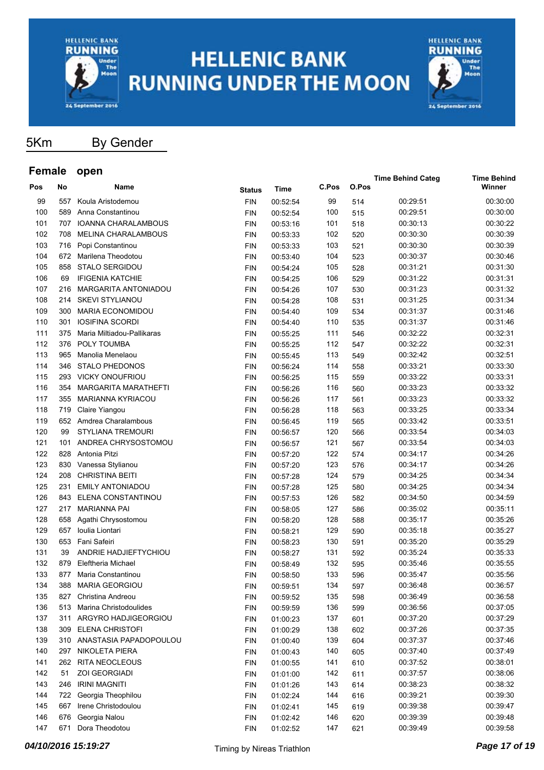



5Km By Gender

| <b>L</b> emale |     | υμαιι                       |               |             |       |       | <b>Time Behind Categ</b> | <b>Time Behind</b> |
|----------------|-----|-----------------------------|---------------|-------------|-------|-------|--------------------------|--------------------|
| Pos            | No  | Name                        | <b>Status</b> | <b>Time</b> | C.Pos | O.Pos |                          | Winner             |
| 99             | 557 | Koula Aristodemou           | <b>FIN</b>    | 00:52:54    | 99    | 514   | 00:29:51                 | 00:30:00           |
| 100            | 589 | Anna Constantinou           | <b>FIN</b>    | 00:52:54    | 100   | 515   | 00:29:51                 | 00:30:00           |
| 101            | 707 | IOANNA CHARALAMBOUS         | <b>FIN</b>    | 00:53:16    | 101   | 518   | 00:30:13                 | 00:30:22           |
| 102            | 708 | <b>MELINA CHARALAMBOUS</b>  | <b>FIN</b>    | 00:53:33    | 102   | 520   | 00:30:30                 | 00:30:39           |
| 103            |     | 716 Popi Constantinou       | <b>FIN</b>    | 00:53:33    | 103   | 521   | 00:30:30                 | 00:30:39           |
| 104            |     | 672 Marilena Theodotou      | <b>FIN</b>    | 00:53:40    | 104   | 523   | 00:30:37                 | 00:30:46           |
| 105            | 858 | <b>STALO SERGIDOU</b>       | <b>FIN</b>    | 00:54:24    | 105   | 528   | 00:31:21                 | 00:31:30           |
| 106            | 69  | <b>IFIGENIA KATCHIE</b>     | <b>FIN</b>    | 00:54:25    | 106   | 529   | 00:31:22                 | 00:31:31           |
| 107            | 216 | <b>MARGARITA ANTONIADOU</b> | <b>FIN</b>    | 00:54:26    | 107   | 530   | 00:31:23                 | 00:31:32           |
| 108            | 214 | <b>SKEVI STYLIANOU</b>      | <b>FIN</b>    | 00:54:28    | 108   | 531   | 00:31:25                 | 00:31:34           |
| 109            | 300 | <b>MARIA ECONOMIDOU</b>     | <b>FIN</b>    | 00:54:40    | 109   | 534   | 00:31:37                 | 00:31:46           |
| 110            | 301 | <b>IOSIFINA SCORDI</b>      | <b>FIN</b>    | 00:54:40    | 110   | 535   | 00:31:37                 | 00:31:46           |
| 111            | 375 | Maria Miltiadou-Pallikaras  | <b>FIN</b>    | 00:55:25    | 111   | 546   | 00:32:22                 | 00:32:31           |
| 112            | 376 | POLY TOUMBA                 | <b>FIN</b>    | 00:55:25    | 112   | 547   | 00:32:22                 | 00:32:31           |
| 113            | 965 | Manolia Menelaou            | <b>FIN</b>    | 00:55:45    | 113   | 549   | 00:32:42                 | 00:32:51           |
| 114            | 346 | <b>STALO PHEDONOS</b>       | <b>FIN</b>    | 00:56:24    | 114   | 558   | 00:33:21                 | 00:33:30           |
| 115            | 293 | <b>VICKY ONOUFRIOU</b>      | <b>FIN</b>    | 00:56:25    | 115   | 559   | 00:33:22                 | 00:33:31           |
| 116            | 354 | MARGARITA MARATHEFTI        | <b>FIN</b>    | 00:56:26    | 116   | 560   | 00:33:23                 | 00:33:32           |
| 117            | 355 | <b>MARIANNA KYRIACOU</b>    | <b>FIN</b>    | 00:56:26    | 117   | 561   | 00:33:23                 | 00:33:32           |
| 118            |     | 719 Claire Yiangou          | <b>FIN</b>    | 00:56:28    | 118   | 563   | 00:33:25                 | 00:33:34           |
| 119            |     | 652 Amdrea Charalambous     | <b>FIN</b>    | 00:56:45    | 119   | 565   | 00:33:42                 | 00:33:51           |
| 120            | 99  | STYLIANA TREMOURI           | <b>FIN</b>    | 00:56:57    | 120   | 566   | 00:33:54                 | 00:34:03           |
| 121            | 101 | ANDREA CHRYSOSTOMOU         | <b>FIN</b>    | 00:56:57    | 121   | 567   | 00:33:54                 | 00:34:03           |
| 122            | 828 | Antonia Pitzi               | <b>FIN</b>    | 00:57:20    | 122   | 574   | 00:34:17                 | 00:34:26           |
| 123            | 830 | Vanessa Stylianou           | <b>FIN</b>    | 00:57:20    | 123   | 576   | 00:34:17                 | 00:34:26           |
| 124            | 208 | <b>CHRISTINA BEITI</b>      | <b>FIN</b>    | 00:57:28    | 124   | 579   | 00:34:25                 | 00:34:34           |
| 125            | 231 | <b>EMILY ANTONIADOU</b>     | <b>FIN</b>    | 00:57:28    | 125   | 580   | 00:34:25                 | 00:34:34           |
| 126            |     | 843 ELENA CONSTANTINOU      | <b>FIN</b>    | 00:57:53    | 126   | 582   | 00:34:50                 | 00:34:59           |
| 127            |     | 217 MARIANNA PAI            | <b>FIN</b>    | 00:58:05    | 127   | 586   | 00:35:02                 | 00:35:11           |
| 128            | 658 | Agathi Chrysostomou         | <b>FIN</b>    | 00:58:20    | 128   | 588   | 00:35:17                 | 00:35:26           |
| 129            | 657 | Ioulia Liontari             | <b>FIN</b>    | 00:58:21    | 129   | 590   | 00:35:18                 | 00:35:27           |
| 130            | 653 | Fani Safeiri                | <b>FIN</b>    | 00:58:23    | 130   | 591   | 00:35:20                 | 00:35:29           |
| 131            | 39  | ANDRIE HADJIEFTYCHIOU       | <b>FIN</b>    | 00:58:27    | 131   | 592   | 00:35:24                 | 00:35:33           |
| 132            | 879 | <b>Eleftheria Michael</b>   | <b>FIN</b>    | 00:58:49    | 132   | 595   | 00:35:46                 | 00:35:55           |
| 133            | 877 | Maria Constantinou          | <b>FIN</b>    | 00:58:50    | 133   | 596   | 00:35:47                 | 00:35:56           |
| 134            |     | 388 MARIA GEORGIOU          | <b>FIN</b>    | 00:59:51    | 134   | 597   | 00:36:48                 | 00:36:57           |
| 135            | 827 | Christina Andreou           | <b>FIN</b>    | 00:59:52    | 135   | 598   | 00:36:49                 | 00:36:58           |
| 136            |     | 513 Marina Christodoulides  | <b>FIN</b>    | 00:59:59    | 136   | 599   | 00:36:56                 | 00:37:05           |
| 137            |     | 311 ARGYRO HADJIGEORGIOU    | <b>FIN</b>    | 01:00:23    | 137   | 601   | 00:37:20                 | 00:37:29           |
| 138            |     | 309 ELENA CHRISTOFI         | <b>FIN</b>    | 01:00:29    | 138   | 602   | 00:37:26                 | 00:37:35           |
| 139            |     | 310 ANASTASIA PAPADOPOULOU  | <b>FIN</b>    | 01:00:40    | 139   | 604   | 00:37:37                 | 00:37:46           |
| 140            | 297 | NIKOLETA PIERA              | <b>FIN</b>    | 01:00:43    | 140   | 605   | 00:37:40                 | 00:37:49           |
| 141            |     | 262 RITA NEOCLEOUS          | <b>FIN</b>    | 01:00:55    | 141   | 610   | 00:37:52                 | 00:38:01           |
| 142            | 51  | <b>ZOI GEORGIADI</b>        | <b>FIN</b>    | 01:01:00    | 142   | 611   | 00:37:57                 | 00:38:06           |
| 143            |     | 246 IRINI MAGNITI           | <b>FIN</b>    | 01:01:26    | 143   | 614   | 00:38:23                 | 00:38:32           |
| 144            | 722 | Georgia Theophilou          | <b>FIN</b>    | 01:02:24    | 144   | 616   | 00:39:21                 | 00:39:30           |
| 145            | 667 | Irene Christodoulou         | <b>FIN</b>    | 01:02:41    | 145   | 619   | 00:39:38                 | 00:39:47           |
| 146            | 676 | Georgia Nalou               | <b>FIN</b>    | 01:02:42    | 146   | 620   | 00:39:39                 | 00:39:48           |
| 147            | 671 | Dora Theodotou              | <b>FIN</b>    | 01:02:52    | 147   | 621   | 00:39:49                 | 00:39:58           |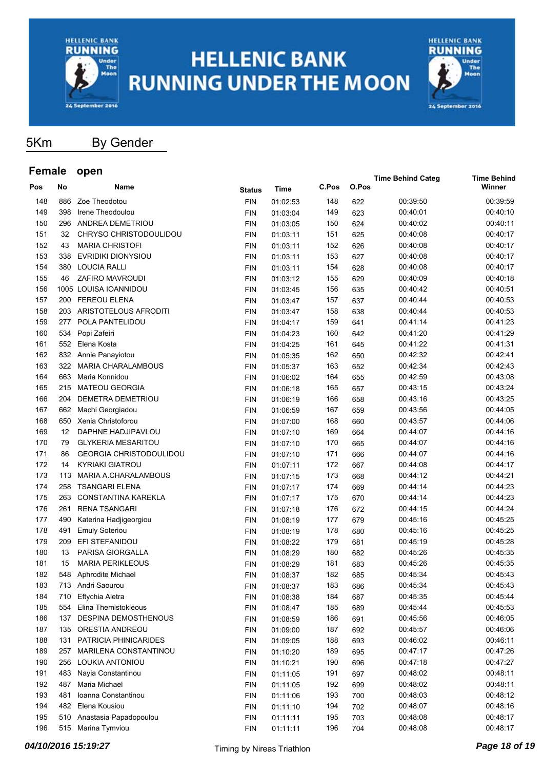



**Time Behind Categ Time Behind**

5Km By Gender

| Pos | No  | Name                           | Status     | Time     | C.Pos | O.Pos |          | Winner   |
|-----|-----|--------------------------------|------------|----------|-------|-------|----------|----------|
| 148 | 886 | Zoe Theodotou                  | <b>FIN</b> | 01:02:53 | 148   | 622   | 00:39:50 | 00:39:59 |
| 149 | 398 | Irene Theodoulou               | <b>FIN</b> | 01:03:04 | 149   | 623   | 00:40:01 | 00:40:10 |
| 150 | 296 | ANDREA DEMETRIOU               | <b>FIN</b> | 01:03:05 | 150   | 624   | 00:40:02 | 00:40:11 |
| 151 | 32  | CHRYSO CHRISTODOULIDOU         | <b>FIN</b> | 01:03:11 | 151   | 625   | 00:40:08 | 00:40:17 |
| 152 | 43  | <b>MARIA CHRISTOFI</b>         | <b>FIN</b> | 01:03:11 | 152   | 626   | 00:40:08 | 00:40:17 |
| 153 | 338 | EVRIDIKI DIONYSIOU             | <b>FIN</b> | 01:03:11 | 153   | 627   | 00:40:08 | 00:40:17 |
| 154 | 380 | <b>LOUCIA RALLI</b>            | <b>FIN</b> | 01:03:11 | 154   | 628   | 00:40:08 | 00:40:17 |
| 155 | 46  | ZAFIRO MAVROUDI                | <b>FIN</b> | 01:03:12 | 155   | 629   | 00:40:09 | 00:40:18 |
| 156 |     | 1005 LOUISA IOANNIDOU          | <b>FIN</b> | 01:03:45 | 156   | 635   | 00:40:42 | 00:40:51 |
| 157 |     | 200 FEREOU ELENA               | <b>FIN</b> | 01:03:47 | 157   | 637   | 00:40:44 | 00:40:53 |
| 158 |     | 203 ARISTOTELOUS AFRODITI      | <b>FIN</b> | 01:03:47 | 158   | 638   | 00:40:44 | 00:40:53 |
| 159 | 277 | POLA PANTELIDOU                | <b>FIN</b> | 01:04:17 | 159   | 641   | 00:41:14 | 00:41:23 |
| 160 | 534 | Popi Zafeiri                   | <b>FIN</b> | 01:04:23 | 160   | 642   | 00:41:20 | 00:41:29 |
| 161 | 552 | Elena Kosta                    | <b>FIN</b> | 01:04:25 | 161   | 645   | 00:41:22 | 00:41:31 |
| 162 | 832 | Annie Panayiotou               | <b>FIN</b> | 01:05:35 | 162   | 650   | 00:42:32 | 00:42:41 |
| 163 | 322 | <b>MARIA CHARALAMBOUS</b>      | <b>FIN</b> | 01:05:37 | 163   | 652   | 00:42:34 | 00:42:43 |
| 164 | 663 | Maria Konnidou                 | <b>FIN</b> | 01:06:02 | 164   | 655   | 00:42:59 | 00:43:08 |
| 165 | 215 | <b>MATEOU GEORGIA</b>          | <b>FIN</b> | 01:06:18 | 165   | 657   | 00:43:15 | 00:43:24 |
| 166 | 204 | DEMETRA DEMETRIOU              | <b>FIN</b> | 01:06:19 | 166   | 658   | 00:43:16 | 00:43:25 |
| 167 | 662 | Machi Georgiadou               | <b>FIN</b> | 01:06:59 | 167   | 659   | 00:43:56 | 00:44:05 |
| 168 | 650 | Xenia Christoforou             | <b>FIN</b> | 01:07:00 | 168   | 660   | 00:43:57 | 00:44:06 |
| 169 | 12  | DAPHNE HADJIPAVLOU             | <b>FIN</b> | 01:07:10 | 169   | 664   | 00:44:07 | 00:44:16 |
| 170 | 79  | <b>GLYKERIA MESARITOU</b>      | <b>FIN</b> | 01:07:10 | 170   | 665   | 00:44:07 | 00:44:16 |
| 171 | 86  | <b>GEORGIA CHRISTODOULIDOU</b> | <b>FIN</b> | 01:07:10 | 171   | 666   | 00:44:07 | 00:44:16 |
| 172 | 14  | <b>KYRIAKI GIATROU</b>         | <b>FIN</b> | 01:07:11 | 172   | 667   | 00:44:08 | 00:44:17 |
| 173 | 113 | MARIA A.CHARALAMBOUS           | <b>FIN</b> | 01:07:15 | 173   | 668   | 00:44:12 | 00:44:21 |
| 174 | 258 | <b>TSANGARI ELENA</b>          | <b>FIN</b> | 01:07:17 | 174   | 669   | 00:44:14 | 00:44:23 |
| 175 | 263 | <b>CONSTANTINA KAREKLA</b>     | <b>FIN</b> | 01:07:17 | 175   | 670   | 00:44:14 | 00:44:23 |
| 176 | 261 | <b>RENA TSANGARI</b>           | <b>FIN</b> | 01:07:18 | 176   | 672   | 00:44:15 | 00:44:24 |
| 177 | 490 | Katerina Hadjigeorgiou         | <b>FIN</b> | 01:08:19 | 177   | 679   | 00:45:16 | 00:45:25 |
| 178 | 491 | <b>Emuly Soteriou</b>          | <b>FIN</b> | 01:08:19 | 178   | 680   | 00:45:16 | 00:45:25 |
| 179 | 209 | EFI STEFANIDOU                 | <b>FIN</b> | 01:08:22 | 179   | 681   | 00:45:19 | 00:45:28 |
| 180 | 13  | PARISA GIORGALLA               | <b>FIN</b> | 01:08:29 | 180   | 682   | 00:45:26 | 00:45:35 |
| 181 | 15  | <b>MARIA PERIKLEOUS</b>        | <b>FIN</b> | 01:08:29 | 181   | 683   | 00:45:26 | 00:45:35 |
| 182 | 548 | Aphrodite Michael              | <b>FIN</b> | 01:08:37 | 182   | 685   | 00:45:34 | 00:45:43 |
| 183 |     | 713 Andri Saourou              | <b>FIN</b> | 01:08:37 | 183   | 686   | 00:45:34 | 00:45:43 |
| 184 | 710 | Eftychia Aletra                | <b>FIN</b> | 01:08:38 | 184   | 687   | 00:45:35 | 00:45:44 |
| 185 | 554 | Elina Themistokleous           | <b>FIN</b> | 01:08:47 | 185   | 689   | 00:45:44 | 00:45:53 |
| 186 | 137 | <b>DESPINA DEMOSTHENOUS</b>    | <b>FIN</b> | 01:08:59 | 186   | 691   | 00:45:56 | 00:46:05 |
| 187 | 135 | ORESTIA ANDREOU                | <b>FIN</b> | 01:09:00 | 187   | 692   | 00:45:57 | 00:46:06 |
| 188 | 131 | PATRICIA PHINICARIDES          | <b>FIN</b> | 01:09:05 | 188   | 693   | 00:46:02 | 00:46:11 |
| 189 | 257 | MARILENA CONSTANTINOU          | <b>FIN</b> | 01:10:20 | 189   | 695   | 00:47:17 | 00:47:26 |
| 190 | 256 | LOUKIA ANTONIOU                | <b>FIN</b> | 01:10:21 | 190   | 696   | 00:47:18 | 00:47:27 |
| 191 | 483 | Nayia Constantinou             | <b>FIN</b> | 01:11:05 | 191   | 697   | 00:48:02 | 00:48:11 |
| 192 | 487 | Maria Michael                  | <b>FIN</b> | 01:11:05 | 192   | 699   | 00:48:02 | 00:48:11 |
| 193 | 481 | Ioanna Constantinou            | <b>FIN</b> | 01:11:06 | 193   | 700   | 00:48:03 | 00:48:12 |
| 194 |     | 482 Elena Kousiou              | <b>FIN</b> | 01:11:10 | 194   | 702   | 00:48:07 | 00:48:16 |
| 195 | 510 | Anastasia Papadopoulou         | <b>FIN</b> | 01:11:11 | 195   | 703   | 00:48:08 | 00:48:17 |
| 196 |     | 515 Marina Tymviou             | <b>FIN</b> | 01:11:11 | 196   | 704   | 00:48:08 | 00:48:17 |